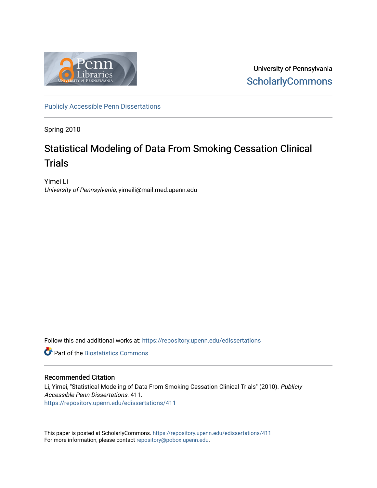

University of Pennsylvania **ScholarlyCommons** 

[Publicly Accessible Penn Dissertations](https://repository.upenn.edu/edissertations)

Spring 2010

## Statistical Modeling of Data From Smoking Cessation Clinical **Trials**

Yimei Li University of Pennsylvania, yimeili@mail.med.upenn.edu

Follow this and additional works at: [https://repository.upenn.edu/edissertations](https://repository.upenn.edu/edissertations?utm_source=repository.upenn.edu%2Fedissertations%2F411&utm_medium=PDF&utm_campaign=PDFCoverPages) 

**C** Part of the Biostatistics Commons

#### Recommended Citation

Li, Yimei, "Statistical Modeling of Data From Smoking Cessation Clinical Trials" (2010). Publicly Accessible Penn Dissertations. 411. [https://repository.upenn.edu/edissertations/411](https://repository.upenn.edu/edissertations/411?utm_source=repository.upenn.edu%2Fedissertations%2F411&utm_medium=PDF&utm_campaign=PDFCoverPages) 

This paper is posted at ScholarlyCommons.<https://repository.upenn.edu/edissertations/411> For more information, please contact [repository@pobox.upenn.edu.](mailto:repository@pobox.upenn.edu)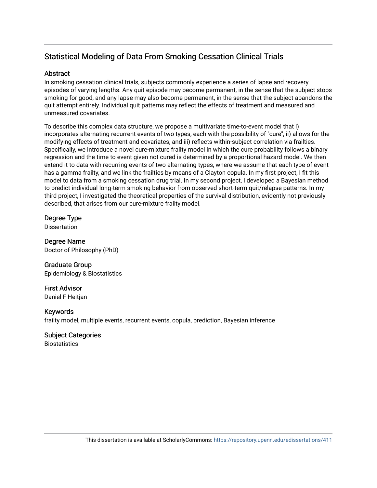### Statistical Modeling of Data From Smoking Cessation Clinical Trials

### **Abstract**

In smoking cessation clinical trials, subjects commonly experience a series of lapse and recovery episodes of varying lengths. Any quit episode may become permanent, in the sense that the subject stops smoking for good, and any lapse may also become permanent, in the sense that the subject abandons the quit attempt entirely. Individual quit patterns may reflect the effects of treatment and measured and unmeasured covariates.

To describe this complex data structure, we propose a multivariate time-to-event model that i) incorporates alternating recurrent events of two types, each with the possibility of "cure", ii) allows for the modifying effects of treatment and covariates, and iii) reflects within-subject correlation via frailties. Specifically, we introduce a novel cure-mixture frailty model in which the cure probability follows a binary regression and the time to event given not cured is determined by a proportional hazard model. We then extend it to data with recurring events of two alternating types, where we assume that each type of event has a gamma frailty, and we link the frailties by means of a Clayton copula. In my first project, I fit this model to data from a smoking cessation drug trial. In my second project, I developed a Bayesian method to predict individual long-term smoking behavior from observed short-term quit/relapse patterns. In my third project, I investigated the theoretical properties of the survival distribution, evidently not previously described, that arises from our cure-mixture frailty model.

### Degree Type

Dissertation

Degree Name Doctor of Philosophy (PhD)

### Graduate Group Epidemiology & Biostatistics

First Advisor Daniel F Heitjan

### Keywords

frailty model, multiple events, recurrent events, copula, prediction, Bayesian inference

### Subject Categories

**Biostatistics**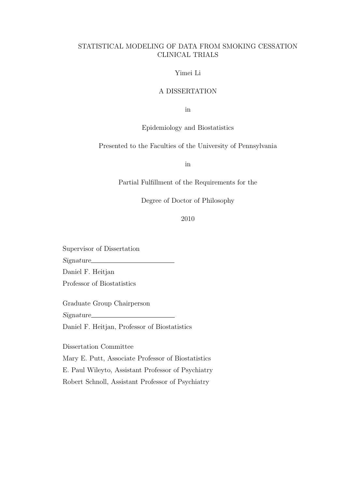### STATISTICAL MODELING OF DATA FROM SMOKING CESSATION CLINICAL TRIALS

### Yimei Li

#### A DISSERTATION

in

#### Epidemiology and Biostatistics

#### Presented to the Faculties of the University of Pennsylvania

in

#### Partial Fulfillment of the Requirements for the

### Degree of Doctor of Philosophy

### 2010

Supervisor of Dissertation

Signature

Daniel F. Heitjan

Professor of Biostatistics

Graduate Group Chairperson

Signature

Daniel F. Heitjan, Professor of Biostatistics

Dissertation Committee

Mary E. Putt, Associate Professor of Biostatistics

E. Paul Wileyto, Assistant Professor of Psychiatry

Robert Schnoll, Assistant Professor of Psychiatry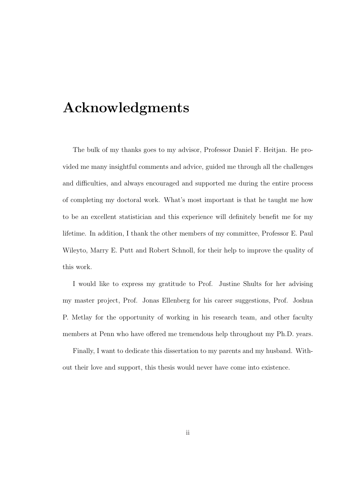# Acknowledgments

The bulk of my thanks goes to my advisor, Professor Daniel F. Heitjan. He provided me many insightful comments and advice, guided me through all the challenges and difficulties, and always encouraged and supported me during the entire process of completing my doctoral work. What's most important is that he taught me how to be an excellent statistician and this experience will definitely benefit me for my lifetime. In addition, I thank the other members of my committee, Professor E. Paul Wileyto, Marry E. Putt and Robert Schnoll, for their help to improve the quality of this work.

I would like to express my gratitude to Prof. Justine Shults for her advising my master project, Prof. Jonas Ellenberg for his career suggestions, Prof. Joshua P. Metlay for the opportunity of working in his research team, and other faculty members at Penn who have offered me tremendous help throughout my Ph.D. years.

Finally, I want to dedicate this dissertation to my parents and my husband. Without their love and support, this thesis would never have come into existence.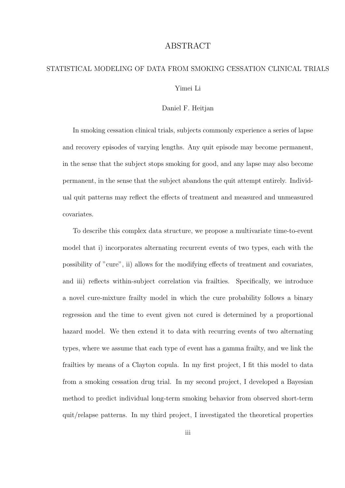### ABSTRACT

# STATISTICAL MODELING OF DATA FROM SMOKING CESSATION CLINICAL TRIALS Yimei Li

#### Daniel F. Heitjan

In smoking cessation clinical trials, subjects commonly experience a series of lapse and recovery episodes of varying lengths. Any quit episode may become permanent, in the sense that the subject stops smoking for good, and any lapse may also become permanent, in the sense that the subject abandons the quit attempt entirely. Individual quit patterns may reflect the effects of treatment and measured and unmeasured covariates.

To describe this complex data structure, we propose a multivariate time-to-event model that i) incorporates alternating recurrent events of two types, each with the possibility of "cure", ii) allows for the modifying effects of treatment and covariates, and iii) reflects within-subject correlation via frailties. Specifically, we introduce a novel cure-mixture frailty model in which the cure probability follows a binary regression and the time to event given not cured is determined by a proportional hazard model. We then extend it to data with recurring events of two alternating types, where we assume that each type of event has a gamma frailty, and we link the frailties by means of a Clayton copula. In my first project, I fit this model to data from a smoking cessation drug trial. In my second project, I developed a Bayesian method to predict individual long-term smoking behavior from observed short-term quit/relapse patterns. In my third project, I investigated the theoretical properties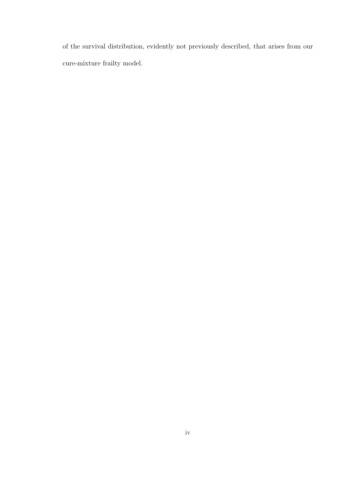of the survival distribution, evidently not previously described, that arises from our cure-mixture frailty model.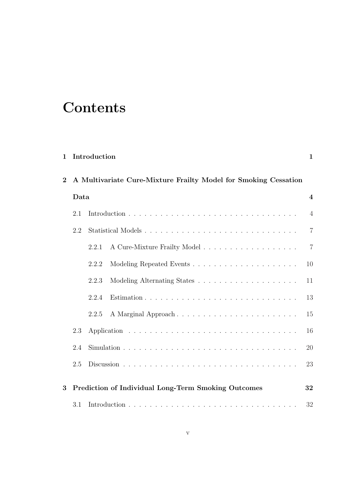# **Contents**

| $\mathbf{2}$ |      | A Multivariate Cure-Mixture Frailty Model for Smoking Cessation |                         |  |  |
|--------------|------|-----------------------------------------------------------------|-------------------------|--|--|
|              | Data |                                                                 | $\overline{\mathbf{4}}$ |  |  |
|              | 2.1  |                                                                 | $\overline{4}$          |  |  |
|              | 2.2  |                                                                 | $\overline{7}$          |  |  |
|              |      | 2.2.1                                                           | $\overline{7}$          |  |  |
|              |      | 2.2.2                                                           | 10                      |  |  |
|              |      | 2.2.3                                                           | 11                      |  |  |
|              |      | 2.2.4                                                           | 13                      |  |  |
|              |      | A Marginal Approach<br>2.2.5                                    | 15                      |  |  |
|              | 2.3  |                                                                 | 16                      |  |  |
|              | 2.4  |                                                                 | 20                      |  |  |
|              | 2.5  |                                                                 | 23                      |  |  |
| 3            |      | Prediction of Individual Long-Term Smoking Outcomes             | 32                      |  |  |
|              | 3.1  |                                                                 | 32                      |  |  |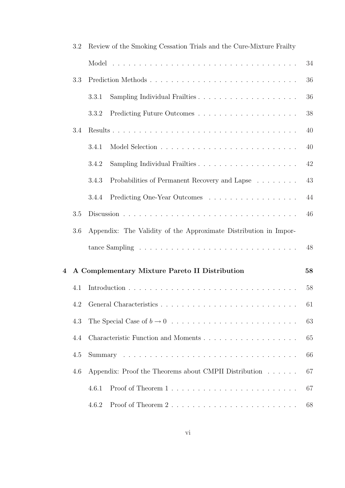|                         | 3.2     | Review of the Smoking Cessation Trials and the Cure-Mixture Frailty |                                                       |    |
|-------------------------|---------|---------------------------------------------------------------------|-------------------------------------------------------|----|
|                         |         |                                                                     |                                                       | 34 |
|                         | 3.3     |                                                                     | Prediction Methods                                    | 36 |
|                         |         | 3.3.1                                                               |                                                       | 36 |
|                         |         | 3.3.2                                                               |                                                       | 38 |
|                         | 3.4     |                                                                     |                                                       | 40 |
|                         |         | 3.4.1                                                               |                                                       | 40 |
|                         |         | 3.4.2                                                               | Sampling Individual Frailties                         | 42 |
|                         |         | 3.4.3                                                               | Probabilities of Permanent Recovery and Lapse         | 43 |
|                         |         | 3.4.4                                                               | Predicting One-Year Outcomes                          | 44 |
|                         | $3.5\,$ |                                                                     |                                                       | 46 |
|                         | 3.6     | Appendix: The Validity of the Approximate Distribution in Impor-    |                                                       |    |
|                         |         |                                                                     |                                                       | 48 |
| $\overline{\mathbf{4}}$ |         |                                                                     | A Complementary Mixture Pareto II Distribution        | 58 |
|                         | 4.1     |                                                                     |                                                       | 58 |
|                         |         |                                                                     |                                                       | 61 |
|                         | 4.3     |                                                                     |                                                       | 63 |
|                         | 4.4     |                                                                     |                                                       | 65 |
|                         | 4.5     |                                                                     |                                                       | 66 |
|                         | 4.6     |                                                                     | Appendix: Proof the Theorems about CMPII Distribution | 67 |
|                         |         | 4.6.1                                                               |                                                       | 67 |
|                         |         | 4.6.2                                                               | Proof of Theorem 2                                    | 68 |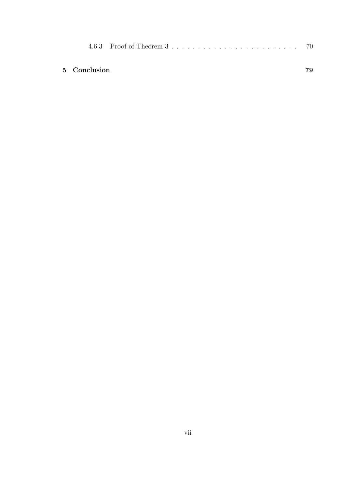| 5 Conclusion |  |  |  |  |
|--------------|--|--|--|--|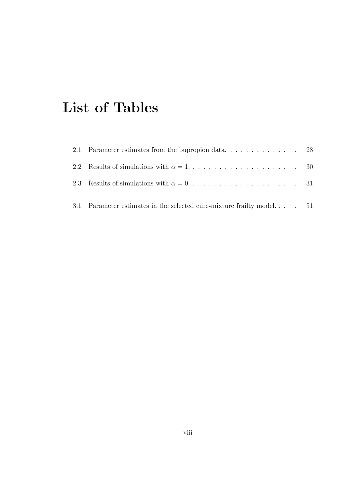# List of Tables

| 2.2 Results of simulations with $\alpha = 1, \ldots, \ldots, \ldots, \ldots, \ldots, \ldots, 30$ |  |
|--------------------------------------------------------------------------------------------------|--|
| 2.3 Results of simulations with $\alpha = 0, \ldots, \ldots, \ldots, \ldots, \ldots, \ldots, 31$ |  |
| 3.1 Parameter estimates in the selected cure-mixture frailty model 51                            |  |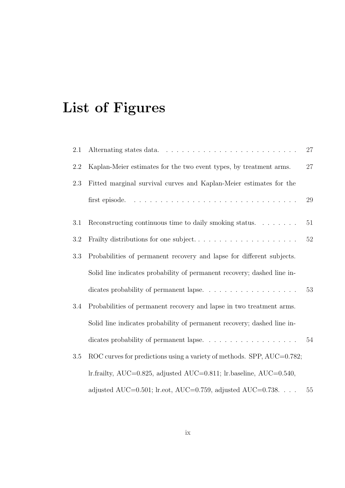# List of Figures

| 2.1 |                                                                                     | 27     |
|-----|-------------------------------------------------------------------------------------|--------|
| 2.2 | Kaplan-Meier estimates for the two event types, by treatment arms.                  | 27     |
| 2.3 | Fitted marginal survival curves and Kaplan-Meier estimates for the                  |        |
|     |                                                                                     | 29     |
| 3.1 | Reconstructing continuous time to daily smoking status.                             | 51     |
| 3.2 | Frailty distributions for one subject                                               | $52\,$ |
| 3.3 | Probabilities of permanent recovery and lapse for different subjects.               |        |
|     | Solid line indicates probability of permanent recovery; dashed line in-             |        |
|     | dicates probability of permanent lapse.                                             | 53     |
| 3.4 | Probabilities of permanent recovery and lapse in two treatment arms.                |        |
|     | Solid line indicates probability of permanent recovery; dashed line in-             |        |
|     | dicates probability of permanent lapse. $\ldots \ldots \ldots \ldots \ldots \ldots$ | 54     |
| 3.5 | ROC curves for predictions using a variety of methods. SPP, AUC=0.782;              |        |
|     | lr.frailty, AUC=0.825, adjusted AUC=0.811; lr.baseline, AUC=0.540,                  |        |
|     | adjusted AUC=0.501; lr.eot, AUC=0.759, adjusted AUC=0.738.                          | 55     |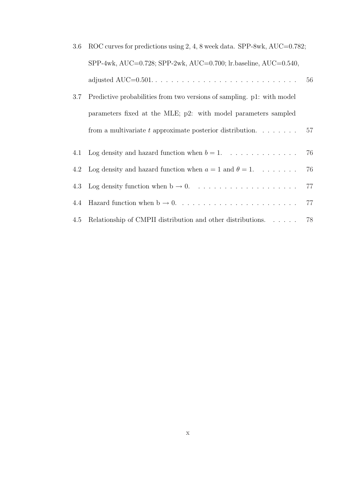| 3.6 | ROC curves for predictions using 2, 4, 8 week data. SPP-8wk, AUC=0.782;     |    |
|-----|-----------------------------------------------------------------------------|----|
|     | SPP-4wk, AUC=0.728; SPP-2wk, AUC=0.700; lr.baseline, AUC=0.540,             |    |
|     |                                                                             | 56 |
| 3.7 | Predictive probabilities from two versions of sampling. p1: with model      |    |
|     | parameters fixed at the MLE; p2: with model parameters sampled              |    |
|     | from a multivariate t approximate posterior distribution. $\ldots$          | 57 |
| 4.1 |                                                                             | 76 |
|     | 4.2 Log density and hazard function when $a = 1$ and $\theta = 1$           | 76 |
| 4.3 |                                                                             | 77 |
| 4.4 |                                                                             | 77 |
| 4.5 | Relationship of CMPII distribution and other distributions. $\ldots \ldots$ | 78 |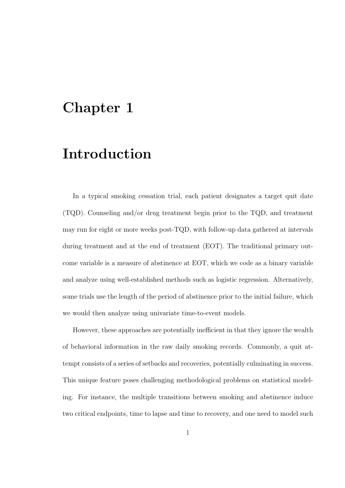# Chapter 1

# Introduction

In a typical smoking cessation trial, each patient designates a target quit date (TQD). Counseling and/or drug treatment begin prior to the TQD, and treatment may run for eight or more weeks post-TQD, with follow-up data gathered at intervals during treatment and at the end of treatment (EOT). The traditional primary outcome variable is a measure of abstinence at EOT, which we code as a binary variable and analyze using well-established methods such as logistic regression. Alternatively, some trials use the length of the period of abstinence prior to the initial failure, which we would then analyze using univariate time-to-event models.

However, these approaches are potentially inefficient in that they ignore the wealth of behavioral information in the raw daily smoking records. Commonly, a quit attempt consists of a series of setbacks and recoveries, potentially culminating in success. This unique feature poses challenging methodological problems on statistical modeling. For instance, the multiple transitions between smoking and abstinence induce two critical endpoints, time to lapse and time to recovery, and one need to model such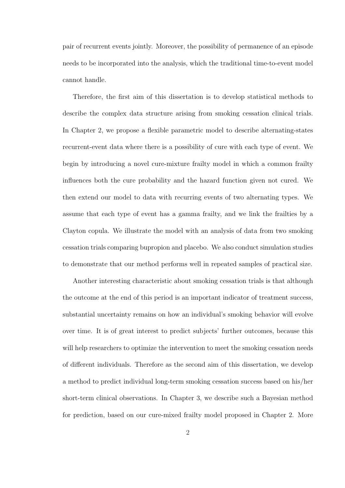pair of recurrent events jointly. Moreover, the possibility of permanence of an episode needs to be incorporated into the analysis, which the traditional time-to-event model cannot handle.

Therefore, the first aim of this dissertation is to develop statistical methods to describe the complex data structure arising from smoking cessation clinical trials. In Chapter 2, we propose a flexible parametric model to describe alternating-states recurrent-event data where there is a possibility of cure with each type of event. We begin by introducing a novel cure-mixture frailty model in which a common frailty influences both the cure probability and the hazard function given not cured. We then extend our model to data with recurring events of two alternating types. We assume that each type of event has a gamma frailty, and we link the frailties by a Clayton copula. We illustrate the model with an analysis of data from two smoking cessation trials comparing bupropion and placebo. We also conduct simulation studies to demonstrate that our method performs well in repeated samples of practical size.

Another interesting characteristic about smoking cessation trials is that although the outcome at the end of this period is an important indicator of treatment success, substantial uncertainty remains on how an individual's smoking behavior will evolve over time. It is of great interest to predict subjects' further outcomes, because this will help researchers to optimize the intervention to meet the smoking cessation needs of different individuals. Therefore as the second aim of this dissertation, we develop a method to predict individual long-term smoking cessation success based on his/her short-term clinical observations. In Chapter 3, we describe such a Bayesian method for prediction, based on our cure-mixed frailty model proposed in Chapter 2. More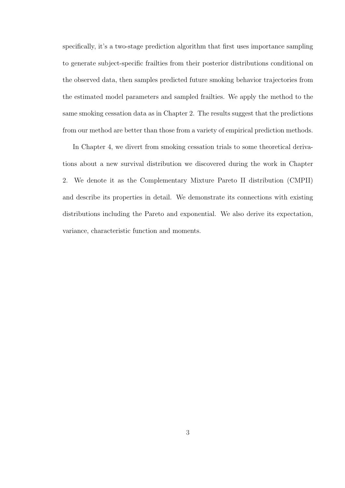specifically, it's a two-stage prediction algorithm that first uses importance sampling to generate subject-specific frailties from their posterior distributions conditional on the observed data, then samples predicted future smoking behavior trajectories from the estimated model parameters and sampled frailties. We apply the method to the same smoking cessation data as in Chapter 2. The results suggest that the predictions from our method are better than those from a variety of empirical prediction methods.

In Chapter 4, we divert from smoking cessation trials to some theoretical derivations about a new survival distribution we discovered during the work in Chapter 2. We denote it as the Complementary Mixture Pareto II distribution (CMPII) and describe its properties in detail. We demonstrate its connections with existing distributions including the Pareto and exponential. We also derive its expectation, variance, characteristic function and moments.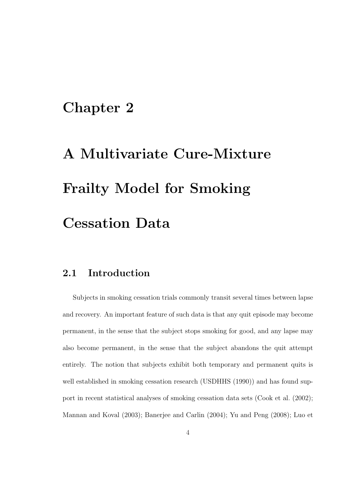# Chapter 2

# A Multivariate Cure-Mixture Frailty Model for Smoking Cessation Data

### 2.1 Introduction

Subjects in smoking cessation trials commonly transit several times between lapse and recovery. An important feature of such data is that any quit episode may become permanent, in the sense that the subject stops smoking for good, and any lapse may also become permanent, in the sense that the subject abandons the quit attempt entirely. The notion that subjects exhibit both temporary and permanent quits is well established in smoking cessation research (USDHHS (1990)) and has found support in recent statistical analyses of smoking cessation data sets (Cook et al. (2002); Mannan and Koval (2003); Banerjee and Carlin (2004); Yu and Peng (2008); Luo et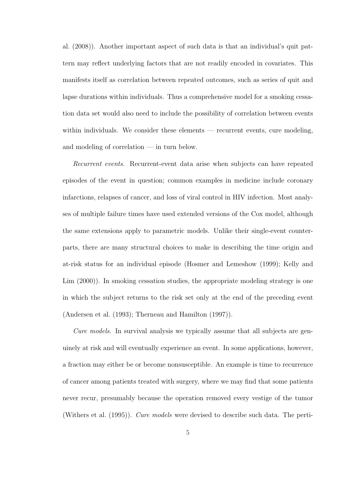al. (2008)). Another important aspect of such data is that an individual's quit pattern may reflect underlying factors that are not readily encoded in covariates. This manifests itself as correlation between repeated outcomes, such as series of quit and lapse durations within individuals. Thus a comprehensive model for a smoking cessation data set would also need to include the possibility of correlation between events within individuals. We consider these elements — recurrent events, cure modeling, and modeling of correlation — in turn below.

Recurrent events. Recurrent-event data arise when subjects can have repeated episodes of the event in question; common examples in medicine include coronary infarctions, relapses of cancer, and loss of viral control in HIV infection. Most analyses of multiple failure times have used extended versions of the Cox model, although the same extensions apply to parametric models. Unlike their single-event counterparts, there are many structural choices to make in describing the time origin and at-risk status for an individual episode (Hosmer and Lemeshow (1999); Kelly and Lim (2000)). In smoking cessation studies, the appropriate modeling strategy is one in which the subject returns to the risk set only at the end of the preceding event (Andersen et al. (1993); Therneau and Hamilton (1997)).

Cure models. In survival analysis we typically assume that all subjects are genuinely at risk and will eventually experience an event. In some applications, however, a fraction may either be or become nonsusceptible. An example is time to recurrence of cancer among patients treated with surgery, where we may find that some patients never recur, presumably because the operation removed every vestige of the tumor (Withers et al. (1995)). Cure models were devised to describe such data. The perti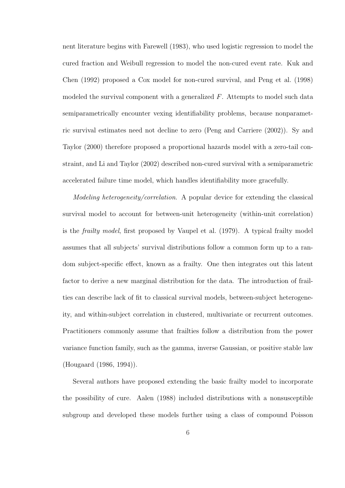nent literature begins with Farewell (1983), who used logistic regression to model the cured fraction and Weibull regression to model the non-cured event rate. Kuk and Chen (1992) proposed a Cox model for non-cured survival, and Peng et al. (1998) modeled the survival component with a generalized F. Attempts to model such data semiparametrically encounter vexing identifiability problems, because nonparametric survival estimates need not decline to zero (Peng and Carriere (2002)). Sy and Taylor (2000) therefore proposed a proportional hazards model with a zero-tail constraint, and Li and Taylor (2002) described non-cured survival with a semiparametric accelerated failure time model, which handles identifiability more gracefully.

Modeling heterogeneity/correlation. A popular device for extending the classical survival model to account for between-unit heterogeneity (within-unit correlation) is the frailty model, first proposed by Vaupel et al. (1979). A typical frailty model assumes that all subjects' survival distributions follow a common form up to a random subject-specific effect, known as a frailty. One then integrates out this latent factor to derive a new marginal distribution for the data. The introduction of frailties can describe lack of fit to classical survival models, between-subject heterogeneity, and within-subject correlation in clustered, multivariate or recurrent outcomes. Practitioners commonly assume that frailties follow a distribution from the power variance function family, such as the gamma, inverse Gaussian, or positive stable law (Hougaard (1986, 1994)).

Several authors have proposed extending the basic frailty model to incorporate the possibility of cure. Aalen (1988) included distributions with a nonsusceptible subgroup and developed these models further using a class of compound Poisson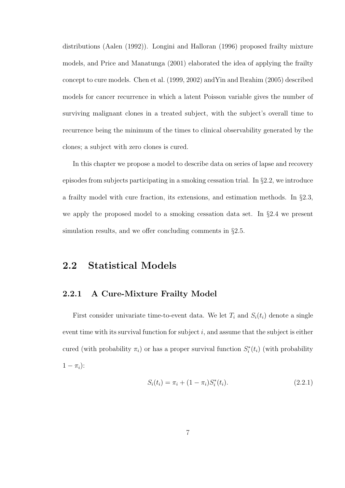distributions (Aalen (1992)). Longini and Halloran (1996) proposed frailty mixture models, and Price and Manatunga (2001) elaborated the idea of applying the frailty concept to cure models. Chen et al. (1999, 2002) andYin and Ibrahim (2005) described models for cancer recurrence in which a latent Poisson variable gives the number of surviving malignant clones in a treated subject, with the subject's overall time to recurrence being the minimum of the times to clinical observability generated by the clones; a subject with zero clones is cured.

In this chapter we propose a model to describe data on series of lapse and recovery episodes from subjects participating in a smoking cessation trial. In §2.2, we introduce a frailty model with cure fraction, its extensions, and estimation methods. In §2.3, we apply the proposed model to a smoking cessation data set. In §2.4 we present simulation results, and we offer concluding comments in §2.5.

### 2.2 Statistical Models

### 2.2.1 A Cure-Mixture Frailty Model

First consider univariate time-to-event data. We let  $T_i$  and  $S_i(t_i)$  denote a single event time with its survival function for subject  $i$ , and assume that the subject is either cured (with probability  $\pi_i$ ) or has a proper survival function  $S_i^*(t_i)$  (with probability  $1-\pi_i$ :

$$
S_i(t_i) = \pi_i + (1 - \pi_i) S_i^*(t_i). \tag{2.2.1}
$$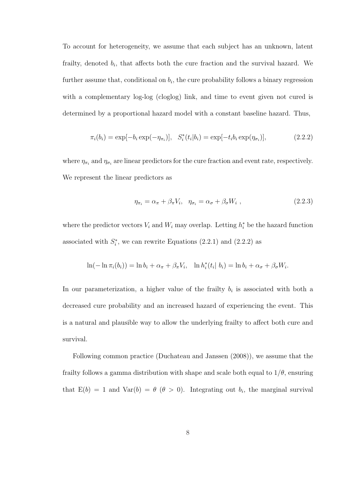To account for heterogeneity, we assume that each subject has an unknown, latent frailty, denoted  $b_i$ , that affects both the cure fraction and the survival hazard. We further assume that, conditional on  $b_i$ , the cure probability follows a binary regression with a complementary log-log (cloglog) link, and time to event given not cured is determined by a proportional hazard model with a constant baseline hazard. Thus,

$$
\pi_i(b_i) = \exp[-b_i \exp(-\eta_{\pi_i})], \quad S_i^*(t_i|b_i) = \exp[-t_i b_i \exp(\eta_{\sigma_i})], \tag{2.2.2}
$$

where  $\eta_{\pi_i}$  and  $\eta_{\sigma_i}$  are linear predictors for the cure fraction and event rate, respectively. We represent the linear predictors as

$$
\eta_{\pi_i} = \alpha_{\pi} + \beta_{\pi} V_i, \quad \eta_{\sigma_i} = \alpha_{\sigma} + \beta_{\sigma} W_i \tag{2.2.3}
$$

where the predictor vectors  $V_i$  and  $W_i$  may overlap. Letting  $h_i^*$  be the hazard function associated with  $S_i^*$ , we can rewrite Equations  $(2.2.1)$  and  $(2.2.2)$  as

$$
\ln(-\ln \pi_i(b_i)) = \ln b_i + \alpha_{\pi} + \beta_{\pi} V_i, \quad \ln h_i^*(t_i \mid b_i) = \ln b_i + \alpha_{\sigma} + \beta_{\sigma} W_i.
$$

In our parameterization, a higher value of the frailty  $b_i$  is associated with both a decreased cure probability and an increased hazard of experiencing the event. This is a natural and plausible way to allow the underlying frailty to affect both cure and survival.

Following common practice (Duchateau and Janssen (2008)), we assume that the frailty follows a gamma distribution with shape and scale both equal to  $1/\theta$ , ensuring that  $E(b) = 1$  and  $Var(b) = \theta \ (\theta > 0)$ . Integrating out  $b_i$ , the marginal survival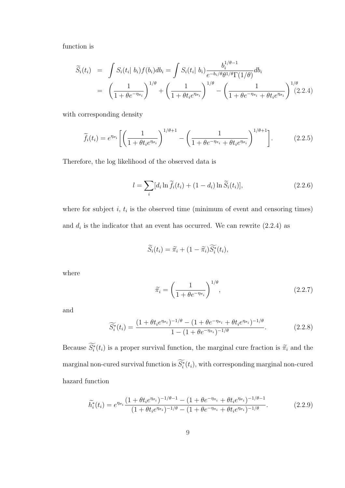function is

$$
\widetilde{S}_i(t_i) = \int S_i(t_i | b_i) f(b_i) db_i = \int S_i(t_i | b_i) \frac{b_i^{1/\theta - 1}}{e^{-b_i/\theta} \theta^{1/\theta} \Gamma(1/\theta)} db_i
$$
  
=  $\left(\frac{1}{1 + \theta e^{-\eta_{\pi_i}}}\right)^{1/\theta} + \left(\frac{1}{1 + \theta t_i e^{\eta_{\sigma_i}}}\right)^{1/\theta} - \left(\frac{1}{1 + \theta e^{-\eta_{\pi_i}} + \theta t_i e^{\eta_{\sigma_i}}}\right)^{1/\theta} (2.2.4)$ 

with corresponding density

$$
\widetilde{f}_i(t_i) = e^{\eta_{\sigma_i}} \left[ \left( \frac{1}{1 + \theta t_i e^{\eta_{\sigma_i}}} \right)^{1/\theta + 1} - \left( \frac{1}{1 + \theta e^{-\eta_{\pi_i}} + \theta t_i e^{\eta_{\sigma_i}}} \right)^{1/\theta + 1} \right].
$$
\n(2.2.5)

Therefore, the log likelihood of the observed data is

$$
l = \sum_{i} [d_i \ln \widetilde{f}_i(t_i) + (1 - d_i) \ln \widetilde{S}_i(t_i)], \qquad (2.2.6)
$$

where for subject  $i, t_i$  is the observed time (minimum of event and censoring times) and  $d_i$  is the indicator that an event has occurred. We can rewrite  $(2.2.4)$  as

$$
\widetilde{S}_i(t_i) = \widetilde{\pi}_i + (1 - \widetilde{\pi}_i) \widetilde{S}_i^*(t_i),
$$

where

$$
\widetilde{\pi}_i = \left(\frac{1}{1 + \theta e^{-\eta_{\pi_i}}}\right)^{1/\theta},\tag{2.2.7}
$$

and

$$
\widetilde{S}_{i}^{*}(t_{i}) = \frac{(1 + \theta t_{i} e^{\eta \sigma_{i}})^{-1/\theta} - (1 + \theta e^{-\eta \pi_{i}} + \theta t_{i} e^{\eta \sigma_{i}})^{-1/\theta}}{1 - (1 + \theta e^{-\eta \pi_{i}})^{-1/\theta}}.
$$
\n(2.2.8)

Because  $\widetilde{S}_i^*(t_i)$  is a proper survival function, the marginal cure fraction is  $\widetilde{\pi}_i$  and the marginal non-cured survival function is  $\widetilde{S_i^*}(t_i),$  with corresponding marginal non-cured hazard function

$$
\widetilde{h_i^*}(t_i) = e^{\eta_{\sigma_i}} \frac{\left(1 + \theta t_i e^{\eta_{\sigma_i}}\right)^{-1/\theta - 1} - \left(1 + \theta e^{-\eta_{\pi_i}} + \theta t_i e^{\eta_{\sigma_i}}\right)^{-1/\theta - 1}}{\left(1 + \theta t_i e^{\eta_{\sigma_i}}\right)^{-1/\theta} - \left(1 + \theta e^{-\eta_{\pi_i}} + \theta t_i e^{\eta_{\sigma_i}}\right)^{-1/\theta}}.
$$
\n(2.2.9)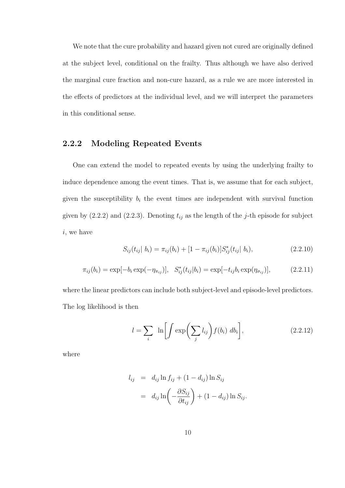We note that the cure probability and hazard given not cured are originally defined at the subject level, conditional on the frailty. Thus although we have also derived the marginal cure fraction and non-cure hazard, as a rule we are more interested in the effects of predictors at the individual level, and we will interpret the parameters in this conditional sense.

### 2.2.2 Modeling Repeated Events

One can extend the model to repeated events by using the underlying frailty to induce dependence among the event times. That is, we assume that for each subject, given the susceptibility  $b_i$  the event times are independent with survival function given by (2.2.2) and (2.2.3). Denoting  $t_{ij}$  as the length of the j-th episode for subject i, we have

$$
S_{ij}(t_{ij} | b_i) = \pi_{ij}(b_i) + [1 - \pi_{ij}(b_i)] S_{ij}^*(t_{ij} | b_i), \qquad (2.2.10)
$$

$$
\pi_{ij}(b_i) = \exp[-b_i \exp(-\eta_{\pi_{ij}})], \quad S_{ij}^*(t_{ij}|b_i) = \exp[-t_{ij}b_i \exp(\eta_{\sigma_{ij}})], \tag{2.2.11}
$$

where the linear predictors can include both subject-level and episode-level predictors. The log likelihood is then

$$
l = \sum_{i} \ln \left[ \int \exp \left( \sum_{j} l_{ij} \right) f(b_i) \ db_i \right], \tag{2.2.12}
$$

where

$$
l_{ij} = d_{ij} \ln f_{ij} + (1 - d_{ij}) \ln S_{ij}
$$
  
= 
$$
d_{ij} \ln \left( -\frac{\partial S_{ij}}{\partial t_{ij}} \right) + (1 - d_{ij}) \ln S_{ij}.
$$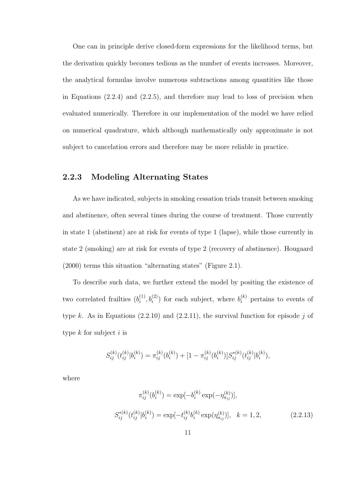One can in principle derive closed-form expressions for the likelihood terms, but the derivation quickly becomes tedious as the number of events increases. Moreover, the analytical formulas involve numerous subtractions among quantities like those in Equations (2.2.4) and (2.2.5), and therefore may lead to loss of precision when evaluated numerically. Therefore in our implementation of the model we have relied on numerical quadrature, which although mathematically only approximate is not subject to cancelation errors and therefore may be more reliable in practice.

### 2.2.3 Modeling Alternating States

As we have indicated, subjects in smoking cessation trials transit between smoking and abstinence, often several times during the course of treatment. Those currently in state 1 (abstinent) are at risk for events of type 1 (lapse), while those currently in state 2 (smoking) are at risk for events of type 2 (recovery of abstinence). Hougaard (2000) terms this situation "alternating states" (Figure 2.1).

To describe such data, we further extend the model by positing the existence of two correlated frailties  $(b_i^{(1)})$  $i_j^{(1)}, b_i^{(2)}$  for each subject, where  $b_i^{(k)}$  pertains to events of type k. As in Equations  $(2.2.10)$  and  $(2.2.11)$ , the survival function for episode j of type  $k$  for subject  $i$  is

$$
S_{ij}^{(k)}(t_{ij}^{(k)}|b_i^{(k)}) = \pi_{ij}^{(k)}(b_i^{(k)}) + [1 - \pi_{ij}^{(k)}(b_i^{(k)})]S_{ij}^{*(k)}(t_{ij}^{(k)}|b_i^{(k)}),
$$

where

$$
\pi_{ij}^{(k)}(b_i^{(k)}) = \exp[-b_i^{(k)} \exp(-\eta_{\pi_{ij}}^{(k)})],
$$
  

$$
S_{ij}^{*(k)}(t_{ij}^{(k)}|b_i^{(k)}) = \exp[-t_{ij}^{(k)}b_i^{(k)} \exp(\eta_{\sigma_{ij}}^{(k)})], \quad k = 1, 2,
$$
 (2.2.13)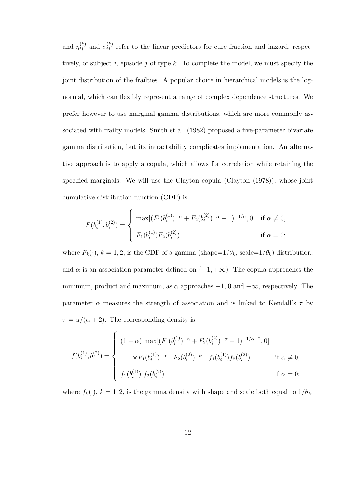and  $\eta_{ij}^{(k)}$  and  $\sigma_{ij}^{(k)}$  refer to the linear predictors for cure fraction and hazard, respectively, of subject i, episode j of type  $k$ . To complete the model, we must specify the joint distribution of the frailties. A popular choice in hierarchical models is the lognormal, which can flexibly represent a range of complex dependence structures. We prefer however to use marginal gamma distributions, which are more commonly associated with frailty models. Smith et al. (1982) proposed a five-parameter bivariate gamma distribution, but its intractability complicates implementation. An alternative approach is to apply a copula, which allows for correlation while retaining the specified marginals. We will use the Clayton copula (Clayton (1978)), whose joint cumulative distribution function (CDF) is:

$$
F(b_i^{(1)}, b_i^{(2)}) = \begin{cases} \max[(F_1(b_i^{(1)})^{-\alpha} + F_2(b_i^{(2)})^{-\alpha} - 1)^{-1/\alpha}, 0] & \text{if } \alpha \neq 0, \\ F_1(b_i^{(1)})F_2(b_i^{(2)}) & \text{if } \alpha = 0; \end{cases}
$$

where  $F_k(\cdot)$ ,  $k = 1, 2$ , is the CDF of a gamma (shape= $1/\theta_k$ , scale= $1/\theta_k$ ) distribution, and  $\alpha$  is an association parameter defined on  $(-1, +\infty)$ . The copula approaches the minimum, product and maximum, as  $\alpha$  approaches  $-1$ , 0 and  $+\infty$ , respectively. The parameter  $\alpha$  measures the strength of association and is linked to Kendall's  $\tau$  by  $\tau = \alpha/(\alpha + 2)$ . The corresponding density is

$$
f(b_i^{(1)}, b_i^{(2)}) = \begin{cases} (1+\alpha) \max[(F_1(b_i^{(1)})^{-\alpha} + F_2(b_i^{(2)})^{-\alpha} - 1)^{-1/\alpha - 2}, 0] \\ \times F_1(b_i^{(1)})^{-\alpha - 1} F_2(b_i^{(2)})^{-\alpha - 1} f_1(b_i^{(1)}) f_2(b_i^{(2)}) & \text{if } \alpha \neq 0, \\ f_1(b_i^{(1)}) f_2(b_i^{(2)}) & \text{if } \alpha = 0; \end{cases}
$$

where  $f_k(\cdot)$ ,  $k = 1, 2$ , is the gamma density with shape and scale both equal to  $1/\theta_k$ .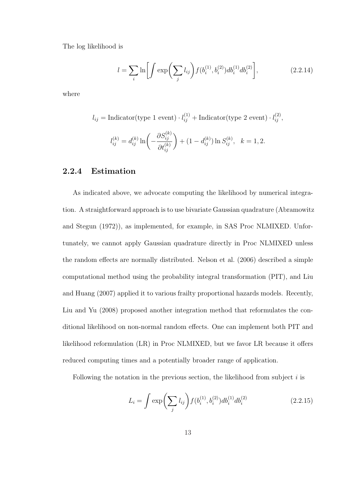The log likelihood is

$$
l = \sum_{i} \ln \left[ \int \exp \left( \sum_{j} l_{ij} \right) f(b_i^{(1)}, b_i^{(2)}) db_i^{(1)} db_i^{(2)} \right], \tag{2.2.14}
$$

where

$$
l_{ij} = \text{Indication(type 1 event)} \cdot l_{ij}^{(1)} + \text{Indication(type 2 event)} \cdot l_{ij}^{(2)},
$$
  

$$
l_{ij}^{(k)} = d_{ij}^{(k)} \ln \left( -\frac{\partial S_{ij}^{(k)}}{\partial t_{ij}^{(k)}} \right) + (1 - d_{ij}^{(k)}) \ln S_{ij}^{(k)}, \quad k = 1, 2.
$$

### 2.2.4 Estimation

As indicated above, we advocate computing the likelihood by numerical integration. A straightforward approach is to use bivariate Gaussian quadrature (Abramowitz and Stegun (1972)), as implemented, for example, in SAS Proc NLMIXED. Unfortunately, we cannot apply Gaussian quadrature directly in Proc NLMIXED unless the random effects are normally distributed. Nelson et al. (2006) described a simple computational method using the probability integral transformation (PIT), and Liu and Huang (2007) applied it to various frailty proportional hazards models. Recently, Liu and Yu (2008) proposed another integration method that reformulates the conditional likelihood on non-normal random effects. One can implement both PIT and likelihood reformulation (LR) in Proc NLMIXED, but we favor LR because it offers reduced computing times and a potentially broader range of application.

Following the notation in the previous section, the likelihood from subject  $i$  is

$$
L_i = \int \exp\bigg(\sum_j l_{ij}\bigg) f(b_i^{(1)}, b_i^{(2)}) db_i^{(1)} db_i^{(2)} \tag{2.2.15}
$$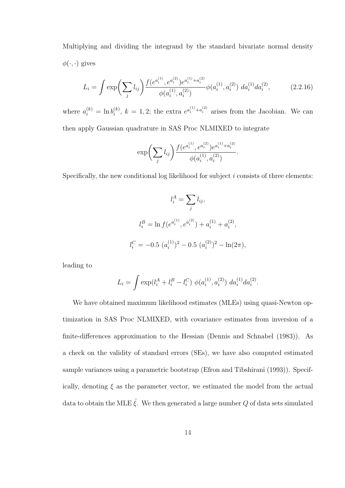Multiplying and dividing the integrand by the standard bivariate normal density  $\phi(\cdot, \cdot)$  gives

$$
L_i = \int \exp\left(\sum_j l_{ij}\right) \frac{f(e^{a_i^{(1)}, e^{a_i^{(2)}})} e^{a_i^{(1)} + a_i^{(2)}}}{\phi(a_i^{(1)}, a_i^{(2)})} \phi(a_i^{(1)}, a_i^{(2)}) \ da_i^{(1)} da_i^{(2)}, \tag{2.2.16}
$$

where  $a_i^{(k)} = \ln b_i^{(k)}$  $i^{(k)}$ ,  $k = 1, 2$ ; the extra  $e^{a_i^{(1)} + a_i^{(2)}}$  arises from the Jacobian. We can then apply Gaussian quadrature in SAS Proc NLMIXED to integrate

$$
\exp\biggl(\sum_j l_{ij}\biggr)\frac{f(e^{a_i^{(1)}},e^{a_i^{(2)}})e^{a_i^{(1)}+a_i^{(2)}}}{\phi(a_i^{(1)},a_i^{(2)})}.
$$

Specifically, the new conditional log likelihood for subject  $i$  consists of three elements:

$$
l_i^A = \sum_j l_{ij},
$$
  
\n
$$
l_i^B = \ln f(e^{a_i^{(1)}}, e^{a_i^{(2)}}) + a_i^{(1)} + a_i^{(2)},
$$
  
\n
$$
l_i^C = -0.5 \ (a_i^{(1)})^2 - 0.5 \ (a_i^{(2)})^2 - \ln(2\pi),
$$

leading to

$$
L_i = \int \exp(l_i^A + l_i^B - l_i^C) \phi(a_i^{(1)}, a_i^{(2)}) da_i^{(1)} da_i^{(2)}.
$$

We have obtained maximum likelihood estimates (MLEs) using quasi-Newton optimization in SAS Proc NLMIXED, with covariance estimates from inversion of a finite-differences approximation to the Hessian (Dennis and Schnabel (1983)). As a check on the validity of standard errors (SEs), we have also computed estimated sample variances using a parametric bootstrap (Efron and Tibshirani (1993)). Specifically, denoting  $\xi$  as the parameter vector, we estimated the model from the actual data to obtain the MLE  $\hat{\xi}$ . We then generated a large number Q of data sets simulated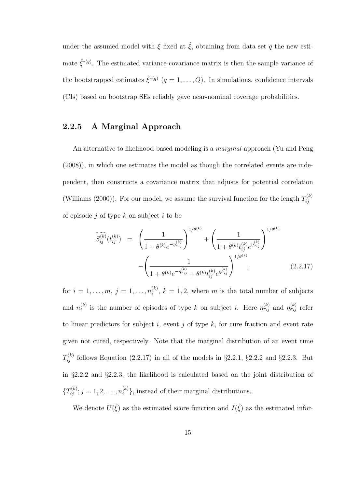under the assumed model with  $\xi$  fixed at  $\hat{\xi}$ , obtaining from data set q the new estimate  $\hat{\xi}^{*(q)}$ . The estimated variance-covariance matrix is then the sample variance of the bootstrapped estimates  $\hat{\zeta}^{*(q)}$   $(q = 1, \ldots, Q)$ . In simulations, confidence intervals (CIs) based on bootstrap SEs reliably gave near-nominal coverage probabilities.

### 2.2.5 A Marginal Approach

An alternative to likelihood-based modeling is a marginal approach (Yu and Peng (2008)), in which one estimates the model as though the correlated events are independent, then constructs a covariance matrix that adjusts for potential correlation (Williams (2000)). For our model, we assume the survival function for the length  $T_{ii}^{(k)}$ ij of episode  $j$  of type  $k$  on subject  $i$  to be

$$
\widetilde{S_{ij}^{(k)}}(t_{ij}^{(k)}) = \left(\frac{1}{1+\theta^{(k)}e^{-\eta_{\pi_{ij}}^{(k)}}}\right)^{1/\theta^{(k)}} + \left(\frac{1}{1+\theta^{(k)}t_{ij}^{(k)}e^{\eta_{\sigma_{ij}}^{(k)}}}\right)^{1/\theta^{(k)}}
$$
\n
$$
-\left(\frac{1}{1+\theta^{(k)}e^{-\eta_{\pi_{ij}}^{(k)}}+\theta^{(k)}t_{ij}^{(k)}e^{\eta_{\sigma_{ij}}^{(k)}}}\right)^{1/\theta^{(k)}},
$$
\n(2.2.17)

for  $i = 1, \ldots, m, j = 1, \ldots, n_i^{(k)}$  $i^{(k)}$ ,  $k = 1, 2$ , where m is the total number of subjects and  $n_i^{(k)}$ (k) is the number of episodes of type k on subject i. Here  $\eta_{\pi_{ij}}^{(k)}$  and  $\eta_{\sigma_{ij}}^{(k)}$  refer to linear predictors for subject  $i$ , event  $j$  of type  $k$ , for cure fraction and event rate given not cured, respectively. Note that the marginal distribution of an event time  $T_{ij}^{(k)}$  follows Equation (2.2.17) in all of the models in §2.2.1, §2.2.2 and §2.2.3. But in §2.2.2 and §2.2.3, the likelihood is calculated based on the joint distribution of  ${T_{ij}^{(k)}}; j = 1, 2, \ldots, n_i^{(k)}$  $\binom{k}{i}$ , instead of their marginal distributions.

We denote  $U(\hat{\xi})$  as the estimated score function and  $I(\hat{\xi})$  as the estimated infor-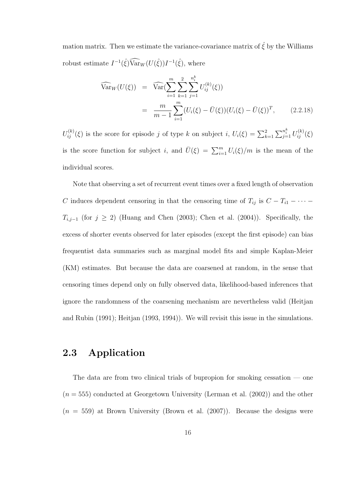mation matrix. Then we estimate the variance-covariance matrix of  $\hat{\xi}$  by the Williams robust estimate  $I^{-1}(\hat{\xi}) \widehat{\text{Var}}_W(U(\hat{\xi})) I^{-1}(\hat{\xi})$ , where

$$
\widehat{\text{Var}}_W(U(\xi)) = \widehat{\text{Var}}\left(\sum_{i=1}^m \sum_{k=1}^2 \sum_{j=1}^{n_i^k} U_{ij}^{(k)}(\xi)\right)
$$
\n
$$
= \frac{m}{m-1} \sum_{i=1}^m (U_i(\xi) - \bar{U}(\xi))(U_i(\xi) - \bar{U}(\xi))^T, \qquad (2.2.18)
$$

 $U_{ij}^{(k)}(\xi)$  is the score for episode j of type k on subject i,  $U_i(\xi) = \sum_{k=1}^2$  $\sum_{j=1}^{n_i^k} U_{ij}^{(k)}(\xi)$ is the score function for subject *i*, and  $\bar{U}(\xi) = \sum_{i=1}^{m} U_i(\xi)/m$  is the mean of the individual scores.

Note that observing a set of recurrent event times over a fixed length of observation C induces dependent censoring in that the censoring time of  $T_{ij}$  is  $C - T_{i1} - \cdots$  $T_{i,j-1}$  (for  $j \ge 2$ ) (Huang and Chen (2003); Chen et al. (2004)). Specifically, the excess of shorter events observed for later episodes (except the first episode) can bias frequentist data summaries such as marginal model fits and simple Kaplan-Meier (KM) estimates. But because the data are coarsened at random, in the sense that censoring times depend only on fully observed data, likelihood-based inferences that ignore the randomness of the coarsening mechanism are nevertheless valid (Heitjan and Rubin (1991); Heitjan (1993, 1994)). We will revisit this issue in the simulations.

### 2.3 Application

The data are from two clinical trials of bupropion for smoking cessation — one  $(n = 555)$  conducted at Georgetown University (Lerman et al.  $(2002)$ ) and the other  $(n = 559)$  at Brown University (Brown et al.  $(2007)$ ). Because the designs were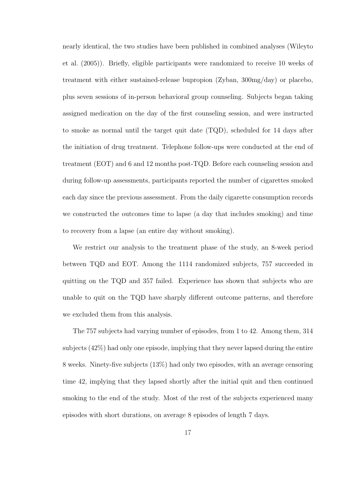nearly identical, the two studies have been published in combined analyses (Wileyto et al. (2005)). Briefly, eligible participants were randomized to receive 10 weeks of treatment with either sustained-release bupropion (Zyban, 300mg/day) or placebo, plus seven sessions of in-person behavioral group counseling. Subjects began taking assigned medication on the day of the first counseling session, and were instructed to smoke as normal until the target quit date (TQD), scheduled for 14 days after the initiation of drug treatment. Telephone follow-ups were conducted at the end of treatment (EOT) and 6 and 12 months post-TQD. Before each counseling session and during follow-up assessments, participants reported the number of cigarettes smoked each day since the previous assessment. From the daily cigarette consumption records we constructed the outcomes time to lapse (a day that includes smoking) and time to recovery from a lapse (an entire day without smoking).

We restrict our analysis to the treatment phase of the study, an 8-week period between TQD and EOT. Among the 1114 randomized subjects, 757 succeeded in quitting on the TQD and 357 failed. Experience has shown that subjects who are unable to quit on the TQD have sharply different outcome patterns, and therefore we excluded them from this analysis.

The 757 subjects had varying number of episodes, from 1 to 42. Among them, 314 subjects (42%) had only one episode, implying that they never lapsed during the entire 8 weeks. Ninety-five subjects (13%) had only two episodes, with an average censoring time 42, implying that they lapsed shortly after the initial quit and then continued smoking to the end of the study. Most of the rest of the subjects experienced many episodes with short durations, on average 8 episodes of length 7 days.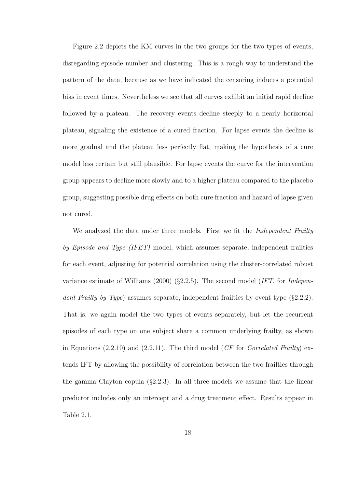Figure 2.2 depicts the KM curves in the two groups for the two types of events, disregarding episode number and clustering. This is a rough way to understand the pattern of the data, because as we have indicated the censoring induces a potential bias in event times. Nevertheless we see that all curves exhibit an initial rapid decline followed by a plateau. The recovery events decline steeply to a nearly horizontal plateau, signaling the existence of a cured fraction. For lapse events the decline is more gradual and the plateau less perfectly flat, making the hypothesis of a cure model less certain but still plausible. For lapse events the curve for the intervention group appears to decline more slowly and to a higher plateau compared to the placebo group, suggesting possible drug effects on both cure fraction and hazard of lapse given not cured.

We analyzed the data under three models. First we fit the *Independent Frailty* by Episode and Type (IFET) model, which assumes separate, independent frailties for each event, adjusting for potential correlation using the cluster-correlated robust variance estimate of Williams (2000) (§2.2.5). The second model (IFT, for Independent Frailty by Type) assumes separate, independent frailties by event type (§2.2.2). That is, we again model the two types of events separately, but let the recurrent episodes of each type on one subject share a common underlying frailty, as shown in Equations (2.2.10) and (2.2.11). The third model (CF for Correlated Frailty) extends IFT by allowing the possibility of correlation between the two frailties through the gamma Clayton copula  $(\S2.2.3)$ . In all three models we assume that the linear predictor includes only an intercept and a drug treatment effect. Results appear in Table 2.1.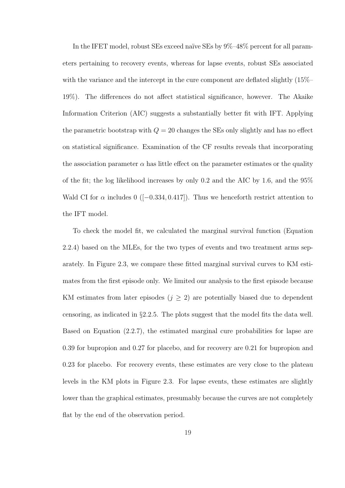In the IFET model, robust SEs exceed naïve SEs by 9%–48% percent for all parameters pertaining to recovery events, whereas for lapse events, robust SEs associated with the variance and the intercept in the cure component are deflated slightly  $(15\% - )$ 19%). The differences do not affect statistical significance, however. The Akaike Information Criterion (AIC) suggests a substantially better fit with IFT. Applying the parametric bootstrap with  $Q = 20$  changes the SEs only slightly and has no effect on statistical significance. Examination of the CF results reveals that incorporating the association parameter  $\alpha$  has little effect on the parameter estimates or the quality of the fit; the log likelihood increases by only 0.2 and the AIC by 1.6, and the 95% Wald CI for  $\alpha$  includes 0 ([−0.334, 0.417]). Thus we henceforth restrict attention to the IFT model.

To check the model fit, we calculated the marginal survival function (Equation 2.2.4) based on the MLEs, for the two types of events and two treatment arms separately. In Figure 2.3, we compare these fitted marginal survival curves to KM estimates from the first episode only. We limited our analysis to the first episode because KM estimates from later episodes  $(j \geq 2)$  are potentially biased due to dependent censoring, as indicated in §2.2.5. The plots suggest that the model fits the data well. Based on Equation (2.2.7), the estimated marginal cure probabilities for lapse are 0.39 for bupropion and 0.27 for placebo, and for recovery are 0.21 for bupropion and 0.23 for placebo. For recovery events, these estimates are very close to the plateau levels in the KM plots in Figure 2.3. For lapse events, these estimates are slightly lower than the graphical estimates, presumably because the curves are not completely flat by the end of the observation period.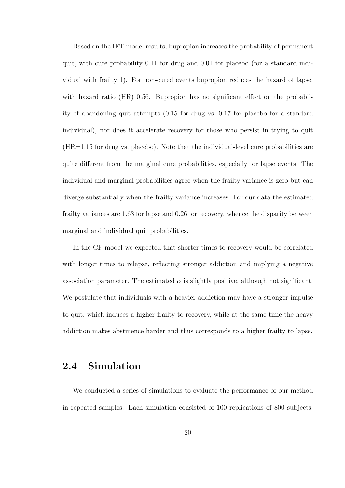Based on the IFT model results, bupropion increases the probability of permanent quit, with cure probability 0.11 for drug and 0.01 for placebo (for a standard individual with frailty 1). For non-cured events bupropion reduces the hazard of lapse, with hazard ratio (HR) 0.56. Bupropion has no significant effect on the probability of abandoning quit attempts (0.15 for drug vs. 0.17 for placebo for a standard individual), nor does it accelerate recovery for those who persist in trying to quit (HR=1.15 for drug vs. placebo). Note that the individual-level cure probabilities are quite different from the marginal cure probabilities, especially for lapse events. The individual and marginal probabilities agree when the frailty variance is zero but can diverge substantially when the frailty variance increases. For our data the estimated frailty variances are 1.63 for lapse and 0.26 for recovery, whence the disparity between marginal and individual quit probabilities.

In the CF model we expected that shorter times to recovery would be correlated with longer times to relapse, reflecting stronger addiction and implying a negative association parameter. The estimated  $\alpha$  is slightly positive, although not significant. We postulate that individuals with a heavier addiction may have a stronger impulse to quit, which induces a higher frailty to recovery, while at the same time the heavy addiction makes abstinence harder and thus corresponds to a higher frailty to lapse.

### 2.4 Simulation

We conducted a series of simulations to evaluate the performance of our method in repeated samples. Each simulation consisted of 100 replications of 800 subjects.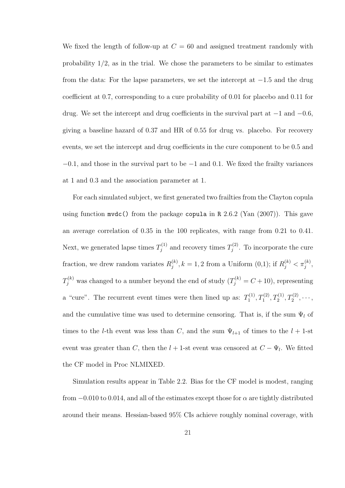We fixed the length of follow-up at  $C = 60$  and assigned treatment randomly with probability  $1/2$ , as in the trial. We chose the parameters to be similar to estimates from the data: For the lapse parameters, we set the intercept at −1.5 and the drug coefficient at 0.7, corresponding to a cure probability of 0.01 for placebo and 0.11 for drug. We set the intercept and drug coefficients in the survival part at  $-1$  and  $-0.6$ , giving a baseline hazard of 0.37 and HR of 0.55 for drug vs. placebo. For recovery events, we set the intercept and drug coefficients in the cure component to be 0.5 and  $-0.1$ , and those in the survival part to be  $-1$  and 0.1. We fixed the frailty variances at 1 and 0.3 and the association parameter at 1.

For each simulated subject, we first generated two frailties from the Clayton copula using function  $m\text{vdc}$ ) from the package copula in R 2.6.2 (Yan (2007)). This gave an average correlation of 0.35 in the 100 replicates, with range from 0.21 to 0.41. Next, we generated lapse times  $T_i^{(1)}$  $T_j^{(1)}$  and recovery times  $T_j^{(2)}$  $j^{(2)}$ . To incorporate the cure fraction, we drew random variates  $R_i^{(k)}$  $j^{(k)}(k, k = 1, 2 \text{ from a Uniform } (0,1); \text{ if } R_j^{(k)} < \pi_j^{(k)},$  $T_j^{(k)}$  was changed to a number beyond the end of study  $(T_j^{(k)} = C + 10)$ , representing a "cure". The recurrent event times were then lined up as:  $T_1^{(1)}$  $T_1^{(1)}, T_1^{(2)}, T_2^{(1)}, T_2^{(2)}, \cdots,$ and the cumulative time was used to determine censoring. That is, if the sum  $\Psi_l$  of times to the *l*-th event was less than C, and the sum  $\Psi_{l+1}$  of times to the  $l + 1$ -st event was greater than C, then the  $l + 1$ -st event was censored at  $C - \Psi_l$ . We fitted the CF model in Proc NLMIXED.

Simulation results appear in Table 2.2. Bias for the CF model is modest, ranging from  $-0.010$  to 0.014, and all of the estimates except those for  $\alpha$  are tightly distributed around their means. Hessian-based 95% CIs achieve roughly nominal coverage, with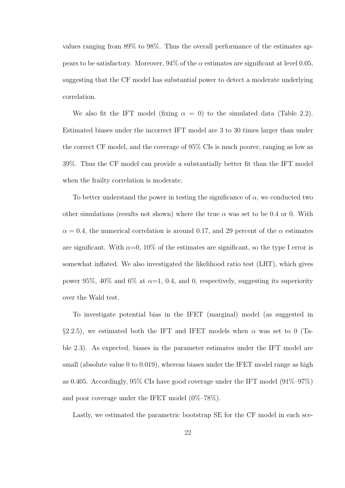values ranging from 89% to 98%. Thus the overall performance of the estimates appears to be satisfactory. Moreover,  $94\%$  of the  $\alpha$  estimates are significant at level 0.05, suggesting that the CF model has substantial power to detect a moderate underlying correlation.

We also fit the IFT model (fixing  $\alpha = 0$ ) to the simulated data (Table 2.2). Estimated biases under the incorrect IFT model are 3 to 30 times larger than under the correct CF model, and the coverage of 95% CIs is much poorer, ranging as low as 39%. Thus the CF model can provide a substantially better fit than the IFT model when the frailty correlation is moderate.

To better understand the power in testing the significance of  $\alpha$ , we conducted two other simulations (results not shown) where the true  $\alpha$  was set to be 0.4 or 0. With  $\alpha = 0.4$ , the numerical correlation is around 0.17, and 29 percent of the  $\alpha$  estimates are significant. With  $\alpha=0$ , 10% of the estimates are significant, so the type I error is somewhat inflated. We also investigated the likelihood ratio test (LRT), which gives power 95%, 40% and 6% at  $\alpha$ =1, 0.4, and 0, respectively, suggesting its superiority over the Wald test.

To investigate potential bias in the IFET (marginal) model (as suggested in §2.2.5), we estimated both the IFT and IFET models when  $\alpha$  was set to 0 (Table 2.3). As expected, biases in the parameter estimates under the IFT model are small (absolute value 0 to 0.019), whereas biases under the IFET model range as high as 0.405. Accordingly, 95% CIs have good coverage under the IFT model (91%–97%) and poor coverage under the IFET model (0%–78%).

Lastly, we estimated the parametric bootstrap SE for the CF model in each sce-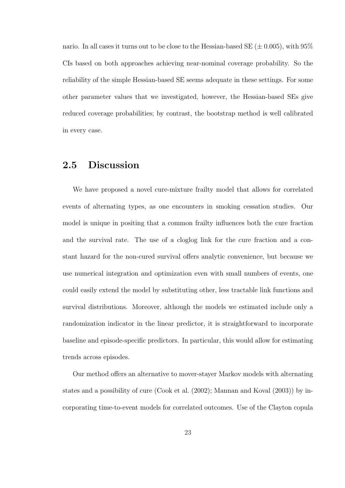nario. In all cases it turns out to be close to the Hessian-based SE ( $\pm$  0.005), with 95% CIs based on both approaches achieving near-nominal coverage probability. So the reliability of the simple Hessian-based SE seems adequate in these settings. For some other parameter values that we investigated, however, the Hessian-based SEs give reduced coverage probabilities; by contrast, the bootstrap method is well calibrated in every case.

### 2.5 Discussion

We have proposed a novel cure-mixture frailty model that allows for correlated events of alternating types, as one encounters in smoking cessation studies. Our model is unique in positing that a common frailty influences both the cure fraction and the survival rate. The use of a cloglog link for the cure fraction and a constant hazard for the non-cured survival offers analytic convenience, but because we use numerical integration and optimization even with small numbers of events, one could easily extend the model by substituting other, less tractable link functions and survival distributions. Moreover, although the models we estimated include only a randomization indicator in the linear predictor, it is straightforward to incorporate baseline and episode-specific predictors. In particular, this would allow for estimating trends across episodes.

Our method offers an alternative to mover-stayer Markov models with alternating states and a possibility of cure (Cook et al. (2002); Mannan and Koval (2003)) by incorporating time-to-event models for correlated outcomes. Use of the Clayton copula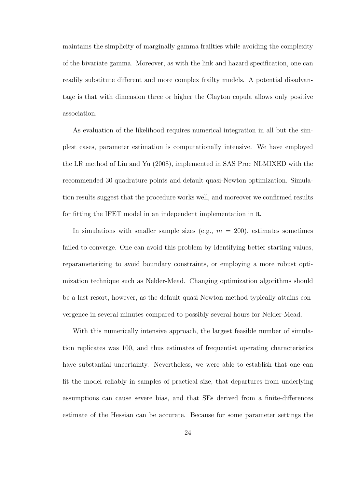maintains the simplicity of marginally gamma frailties while avoiding the complexity of the bivariate gamma. Moreover, as with the link and hazard specification, one can readily substitute different and more complex frailty models. A potential disadvantage is that with dimension three or higher the Clayton copula allows only positive association.

As evaluation of the likelihood requires numerical integration in all but the simplest cases, parameter estimation is computationally intensive. We have employed the LR method of Liu and Yu (2008), implemented in SAS Proc NLMIXED with the recommended 30 quadrature points and default quasi-Newton optimization. Simulation results suggest that the procedure works well, and moreover we confirmed results for fitting the IFET model in an independent implementation in R.

In simulations with smaller sample sizes (e.g.,  $m = 200$ ), estimates sometimes failed to converge. One can avoid this problem by identifying better starting values, reparameterizing to avoid boundary constraints, or employing a more robust optimization technique such as Nelder-Mead. Changing optimization algorithms should be a last resort, however, as the default quasi-Newton method typically attains convergence in several minutes compared to possibly several hours for Nelder-Mead.

With this numerically intensive approach, the largest feasible number of simulation replicates was 100, and thus estimates of frequentist operating characteristics have substantial uncertainty. Nevertheless, we were able to establish that one can fit the model reliably in samples of practical size, that departures from underlying assumptions can cause severe bias, and that SEs derived from a finite-differences estimate of the Hessian can be accurate. Because for some parameter settings the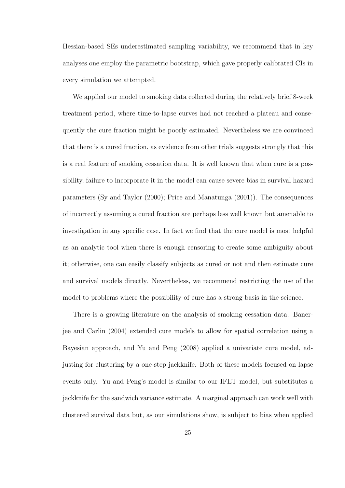Hessian-based SEs underestimated sampling variability, we recommend that in key analyses one employ the parametric bootstrap, which gave properly calibrated CIs in every simulation we attempted.

We applied our model to smoking data collected during the relatively brief 8-week treatment period, where time-to-lapse curves had not reached a plateau and consequently the cure fraction might be poorly estimated. Nevertheless we are convinced that there is a cured fraction, as evidence from other trials suggests strongly that this is a real feature of smoking cessation data. It is well known that when cure is a possibility, failure to incorporate it in the model can cause severe bias in survival hazard parameters (Sy and Taylor (2000); Price and Manatunga (2001)). The consequences of incorrectly assuming a cured fraction are perhaps less well known but amenable to investigation in any specific case. In fact we find that the cure model is most helpful as an analytic tool when there is enough censoring to create some ambiguity about it; otherwise, one can easily classify subjects as cured or not and then estimate cure and survival models directly. Nevertheless, we recommend restricting the use of the model to problems where the possibility of cure has a strong basis in the science.

There is a growing literature on the analysis of smoking cessation data. Banerjee and Carlin (2004) extended cure models to allow for spatial correlation using a Bayesian approach, and Yu and Peng (2008) applied a univariate cure model, adjusting for clustering by a one-step jackknife. Both of these models focused on lapse events only. Yu and Peng's model is similar to our IFET model, but substitutes a jackknife for the sandwich variance estimate. A marginal approach can work well with clustered survival data but, as our simulations show, is subject to bias when applied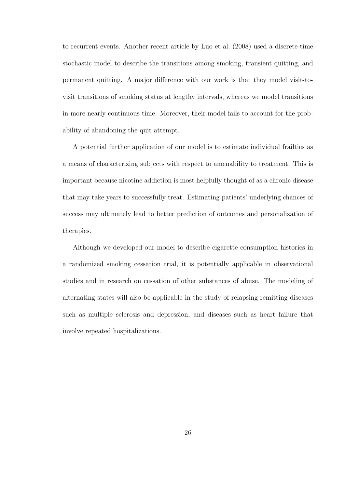to recurrent events. Another recent article by Luo et al. (2008) used a discrete-time stochastic model to describe the transitions among smoking, transient quitting, and permanent quitting. A major difference with our work is that they model visit-tovisit transitions of smoking status at lengthy intervals, whereas we model transitions in more nearly continuous time. Moreover, their model fails to account for the probability of abandoning the quit attempt.

A potential further application of our model is to estimate individual frailties as a means of characterizing subjects with respect to amenability to treatment. This is important because nicotine addiction is most helpfully thought of as a chronic disease that may take years to successfully treat. Estimating patients' underlying chances of success may ultimately lead to better prediction of outcomes and personalization of therapies.

Although we developed our model to describe cigarette consumption histories in a randomized smoking cessation trial, it is potentially applicable in observational studies and in research on cessation of other substances of abuse. The modeling of alternating states will also be applicable in the study of relapsing-remitting diseases such as multiple sclerosis and depression, and diseases such as heart failure that involve repeated hospitalizations.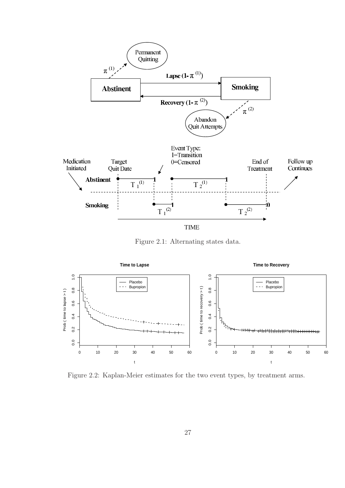

Figure 2.1: Alternating states data.



Figure 2.2: Kaplan-Meier estimates for the two event types, by treatment arms.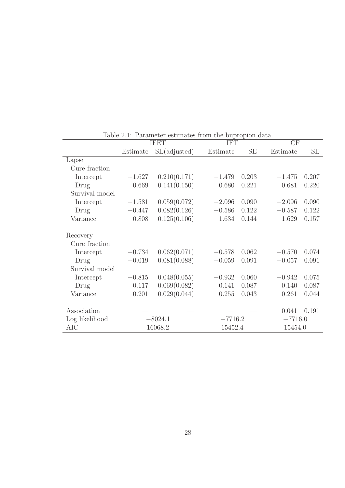|                |          | <b>IFET</b>  | <b>IFT</b> |       | CF       |           |  |  |
|----------------|----------|--------------|------------|-------|----------|-----------|--|--|
|                | Estimate | SE(adjusted) | Estimate   | SE    | Estimate | SE        |  |  |
| Lapse          |          |              |            |       |          |           |  |  |
| Cure fraction  |          |              |            |       |          |           |  |  |
| Intercept      | $-1.627$ | 0.210(0.171) | $-1.479$   | 0.203 | $-1.475$ | 0.207     |  |  |
| Drug           | 0.669    | 0.141(0.150) | 0.680      | 0.221 | 0.681    | 0.220     |  |  |
| Survival model |          |              |            |       |          |           |  |  |
| Intercept      | $-1.581$ | 0.059(0.072) | $-2.096$   | 0.090 | $-2.096$ | 0.090     |  |  |
| Drug           | $-0.447$ | 0.082(0.126) | $-0.586$   | 0.122 | $-0.587$ | 0.122     |  |  |
| Variance       | 0.808    | 0.125(0.106) | 1.634      | 0.144 | 1.629    | 0.157     |  |  |
|                |          |              |            |       |          |           |  |  |
| Recovery       |          |              |            |       |          |           |  |  |
| Cure fraction  |          |              |            |       |          |           |  |  |
| Intercept      | $-0.734$ | 0.062(0.071) | $-0.578$   | 0.062 | $-0.570$ | 0.074     |  |  |
| Drug           | $-0.019$ | 0.081(0.088) | $-0.059$   | 0.091 | $-0.057$ | 0.091     |  |  |
| Survival model |          |              |            |       |          |           |  |  |
| Intercept      | $-0.815$ | 0.048(0.055) | $-0.932$   | 0.060 | $-0.942$ | 0.075     |  |  |
| Drug           | 0.117    | 0.069(0.082) | 0.141      | 0.087 | 0.140    | 0.087     |  |  |
| Variance       | 0.201    | 0.029(0.044) | 0.255      | 0.043 | 0.261    | 0.044     |  |  |
|                |          |              |            |       |          |           |  |  |
| Association    |          |              |            |       | 0.041    | 0.191     |  |  |
| Log likelihood |          | $-8024.1$    | $-7716.2$  |       |          | $-7716.0$ |  |  |
| AIC            |          | 16068.2      | 15452.4    |       | 15454.0  |           |  |  |

Table 2.1: Parameter estimates from the bupropion data.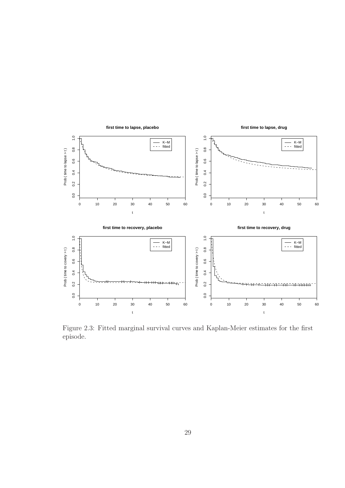

Figure 2.3: Fitted marginal survival curves and Kaplan-Meier estimates for the first episode.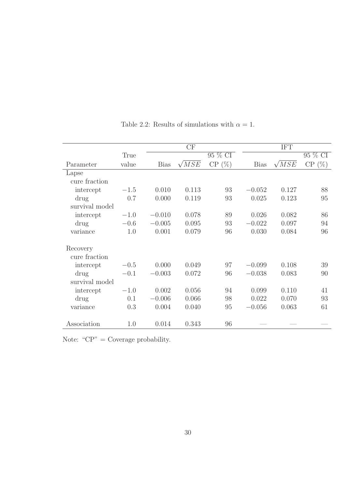|                |        |             | CF           |         | <b>IFT</b>  |              |         |  |
|----------------|--------|-------------|--------------|---------|-------------|--------------|---------|--|
|                | True   |             |              | 95 % CI |             |              | 95 % CI |  |
| Parameter      | value  | <b>Bias</b> | $\sqrt{MSE}$ | CP(%)   | <b>Bias</b> | $\sqrt{MSE}$ | CP(%)   |  |
| Lapse          |        |             |              |         |             |              |         |  |
| cure fraction  |        |             |              |         |             |              |         |  |
| intercept      | $-1.5$ | 0.010       | 0.113        | 93      | $-0.052$    | 0.127        | 88      |  |
| drug           | 0.7    | 0.000       | 0.119        | 93      | 0.025       | 0.123        | 95      |  |
| survival model |        |             |              |         |             |              |         |  |
| intercept      | $-1.0$ | $-0.010$    | 0.078        | 89      | 0.026       | 0.082        | 86      |  |
| drug           | $-0.6$ | $-0.005$    | 0.095        | 93      | $-0.022$    | 0.097        | 94      |  |
| variance       | 1.0    | 0.001       | 0.079        | 96      | 0.030       | 0.084        | 96      |  |
| Recovery       |        |             |              |         |             |              |         |  |
| cure fraction  |        |             |              |         |             |              |         |  |
| intercept      | $-0.5$ | 0.000       | 0.049        | 97      | $-0.099$    | 0.108        | 39      |  |
| drug           | $-0.1$ | $-0.003$    | 0.072        | 96      | $-0.038$    | 0.083        | 90      |  |
| survival model |        |             |              |         |             |              |         |  |
| intercept      | $-1.0$ | 0.002       | 0.056        | 94      | 0.099       | 0.110        | 41      |  |
| drug           | 0.1    | $-0.006$    | 0.066        | 98      | 0.022       | 0.070        | 93      |  |
| variance       | 0.3    | 0.004       | 0.040        | 95      | $-0.056$    | 0.063        | 61      |  |
|                |        |             |              |         |             |              |         |  |
| Association    | 1.0    | 0.014       | 0.343        | 96      |             |              |         |  |

Table 2.2: Results of simulations with  $\alpha = 1$ .

Note: "CP" = Coverage probability.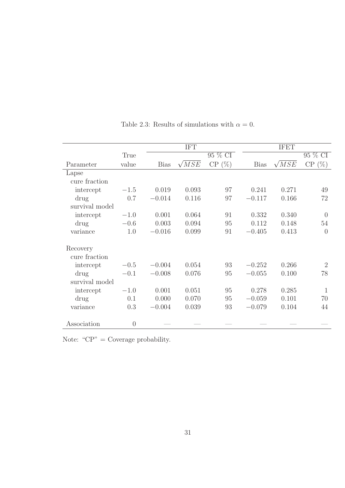|                |          |             | <b>IFT</b>   |         | <b>IFET</b> |              |                  |  |
|----------------|----------|-------------|--------------|---------|-------------|--------------|------------------|--|
|                | True     |             |              | 95 % CI |             |              | 95 % CI          |  |
| Parameter      | value    | <b>Bias</b> | $\sqrt{MSE}$ | CP(%)   | <b>Bias</b> | $\sqrt{MSE}$ | CP(%)            |  |
| Lapse          |          |             |              |         |             |              |                  |  |
| cure fraction  |          |             |              |         |             |              |                  |  |
| intercept      | $-1.5$   | 0.019       | 0.093        | 97      | 0.241       | 0.271        | 49               |  |
| drug           | 0.7      | $-0.014$    | 0.116        | 97      | $-0.117$    | 0.166        | 72               |  |
| survival model |          |             |              |         |             |              |                  |  |
| intercept      | $-1.0$   | 0.001       | 0.064        | 91      | 0.332       | 0.340        | $\left( \right)$ |  |
| drug           | $-0.6$   | 0.003       | 0.094        | 95      | 0.112       | 0.148        | 54               |  |
| variance       | 1.0      | $-0.016$    | 0.099        | 91      | $-0.405$    | 0.413        | $\overline{0}$   |  |
| Recovery       |          |             |              |         |             |              |                  |  |
| cure fraction  |          |             |              |         |             |              |                  |  |
| intercept      | $-0.5$   | $-0.004$    | 0.054        | 93      | $-0.252$    | 0.266        | $\overline{2}$   |  |
| drug           | $-0.1$   | $-0.008$    | 0.076        | 95      | $-0.055$    | 0.100        | 78               |  |
| survival model |          |             |              |         |             |              |                  |  |
| intercept      | $-1.0$   | 0.001       | 0.051        | 95      | 0.278       | 0.285        | 1                |  |
| drug           | 0.1      | 0.000       | 0.070        | 95      | $-0.059$    | 0.101        | 70               |  |
| variance       | 0.3      | $-0.004$    | 0.039        | 93      | $-0.079$    | 0.104        | 44               |  |
|                |          |             |              |         |             |              |                  |  |
| Association    | $\theta$ |             |              |         |             |              |                  |  |

Table 2.3: Results of simulations with  $\alpha = 0$ .

Note: "CP" = Coverage probability.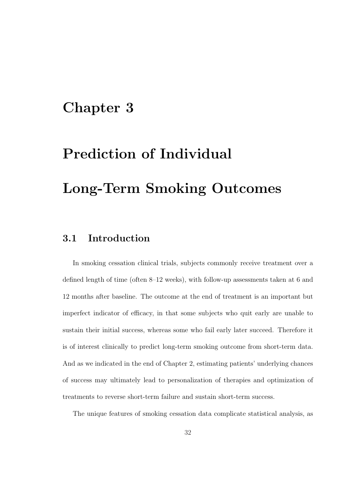### Chapter 3

# Prediction of Individual Long-Term Smoking Outcomes

#### 3.1 Introduction

In smoking cessation clinical trials, subjects commonly receive treatment over a defined length of time (often 8–12 weeks), with follow-up assessments taken at 6 and 12 months after baseline. The outcome at the end of treatment is an important but imperfect indicator of efficacy, in that some subjects who quit early are unable to sustain their initial success, whereas some who fail early later succeed. Therefore it is of interest clinically to predict long-term smoking outcome from short-term data. And as we indicated in the end of Chapter 2, estimating patients' underlying chances of success may ultimately lead to personalization of therapies and optimization of treatments to reverse short-term failure and sustain short-term success.

The unique features of smoking cessation data complicate statistical analysis, as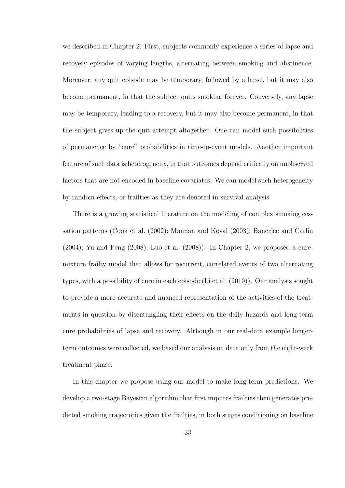we described in Chapter 2. First, subjects commonly experience a series of lapse and recovery episodes of varying lengths, alternating between smoking and abstinence. Moreover, any quit episode may be temporary, followed by a lapse, but it may also become permanent, in that the subject quits smoking forever. Conversely, any lapse may be temporary, leading to a recovery, but it may also become permanent, in that the subject gives up the quit attempt altogether. One can model such possibilities of permanence by "cure" probabilities in time-to-event models. Another important feature of such data is heterogeneity, in that outcomes depend critically on unobserved factors that are not encoded in baseline covariates. We can model such heterogeneity by random effects, or frailties as they are denoted in survival analysis.

There is a growing statistical literature on the modeling of complex smoking cessation patterns (Cook et al. (2002); Mannan and Koval (2003); Banerjee and Carlin (2004); Yu and Peng (2008); Luo et al. (2008)). In Chapter 2, we proposed a curemixture frailty model that allows for recurrent, correlated events of two alternating types, with a possibility of cure in each episode (Li et al. (2010)). Our analysis sought to provide a more accurate and nuanced representation of the activities of the treatments in question by disentangling their effects on the daily hazards and long-term cure probabilities of lapse and recovery. Although in our real-data example longerterm outcomes were collected, we based our analysis on data only from the eight-week treatment phase.

In this chapter we propose using our model to make long-term predictions. We develop a two-stage Bayesian algorithm that first imputes frailties then generates predicted smoking trajectories given the frailties, in both stages conditioning on baseline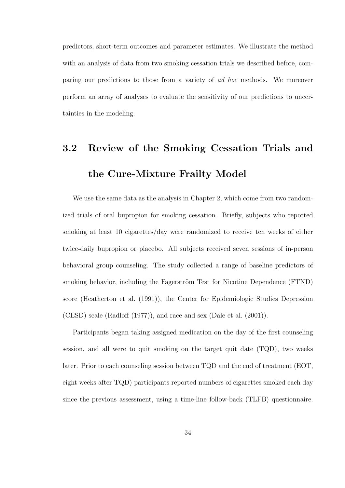predictors, short-term outcomes and parameter estimates. We illustrate the method with an analysis of data from two smoking cessation trials we described before, comparing our predictions to those from a variety of ad hoc methods. We moreover perform an array of analyses to evaluate the sensitivity of our predictions to uncertainties in the modeling.

## 3.2 Review of the Smoking Cessation Trials and the Cure-Mixture Frailty Model

We use the same data as the analysis in Chapter 2, which come from two randomized trials of oral bupropion for smoking cessation. Briefly, subjects who reported smoking at least 10 cigarettes/day were randomized to receive ten weeks of either twice-daily bupropion or placebo. All subjects received seven sessions of in-person behavioral group counseling. The study collected a range of baseline predictors of smoking behavior, including the Fagerström Test for Nicotine Dependence (FTND) score (Heatherton et al. (1991)), the Center for Epidemiologic Studies Depression (CESD) scale (Radloff (1977)), and race and sex (Dale et al. (2001)).

Participants began taking assigned medication on the day of the first counseling session, and all were to quit smoking on the target quit date (TQD), two weeks later. Prior to each counseling session between TQD and the end of treatment (EOT, eight weeks after TQD) participants reported numbers of cigarettes smoked each day since the previous assessment, using a time-line follow-back (TLFB) questionnaire.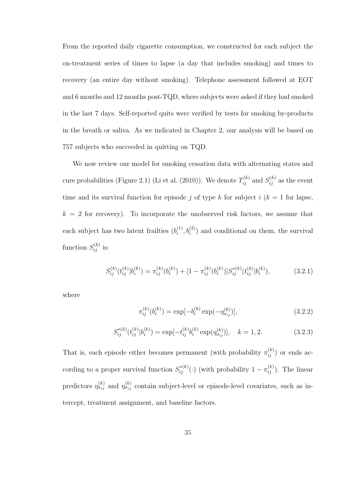From the reported daily cigarette consumption, we constructed for each subject the on-treatment series of times to lapse (a day that includes smoking) and times to recovery (an entire day without smoking). Telephone assessment followed at EOT and 6 months and 12 months post-TQD, where subjects were asked if they had smoked in the last 7 days. Self-reported quits were verified by tests for smoking by-products in the breath or saliva. As we indicated in Chapter 2, our analysis will be based on 757 subjects who succeeded in quitting on TQD.

We now review our model for smoking cessation data with alternating states and cure probabilities (Figure 2.1) (Li et al. (2010)). We denote  $T_{ij}^{(k)}$  and  $S_{ij}^{(k)}$  as the event time and its survival function for episode j of type k for subject i  $(k = 1$  for lapse,  $k = 2$  for recovery). To incorporate the unobserved risk factors, we assume that each subject has two latent frailties  $(b_i^{(1)})$  $i^{(1)}_i, b^{(2)}_i$  and conditional on them, the survival function  $S_{ij}^{(k)}$  is:

$$
S_{ij}^{(k)}(t_{ij}^{(k)}|b_i^{(k)}) = \pi_{ij}^{(k)}(b_i^{(k)}) + [1 - \pi_{ij}^{(k)}(b_i^{(k)})]S_{ij}^{*(k)}(t_{ij}^{(k)}|b_i^{(k)}), \qquad (3.2.1)
$$

where

$$
\pi_{ij}^{(k)}(b_i^{(k)}) = \exp[-b_i^{(k)} \exp(-\eta_{\pi_{ij}}^{(k)})],\tag{3.2.2}
$$

$$
S_{ij}^{*(k)}(t_{ij}^{(k)}|b_i^{(k)}) = \exp[-t_{ij}^{(k)}b_i^{(k)}\exp(\eta_{\sigma_{ij}}^{(k)})], \quad k = 1, 2.
$$
 (3.2.3)

That is, each episode either becomes permanent (with probability  $\pi_{ij}^{(k)}$ ) or ends according to a proper survival function  $S_{ij}^{*(k)}(\cdot)$  (with probability  $1 - \pi_{ij}^{(k)}$ ). The linear predictors  $\eta_{\pi_{ij}}^{(k)}$  and  $\eta_{\sigma_{ij}}^{(k)}$  contain subject-level or episode-level covariates, such as intercept, treatment assignment, and baseline factors.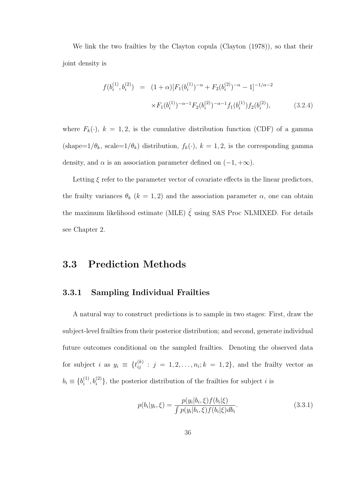We link the two frailties by the Clayton copula (Clayton (1978)), so that their joint density is

$$
f(b_i^{(1)}, b_i^{(2)}) = (1+\alpha)[F_1(b_i^{(1)})^{-\alpha} + F_2(b_i^{(2)})^{-\alpha} - 1]^{-1/\alpha - 2}
$$
  
 
$$
\times F_1(b_i^{(1)})^{-\alpha - 1} F_2(b_i^{(2)})^{-\alpha - 1} f_1(b_i^{(1)}) f_2(b_i^{(2)}), \qquad (3.2.4)
$$

where  $F_k(\cdot)$ ,  $k = 1, 2$ , is the cumulative distribution function (CDF) of a gamma (shape= $1/\theta_k$ , scale= $1/\theta_k$ ) distribution,  $f_k(\cdot)$ ,  $k = 1, 2$ , is the corresponding gamma density, and  $\alpha$  is an association parameter defined on  $(-1, +\infty)$ .

Letting  $\xi$  refer to the parameter vector of covariate effects in the linear predictors, the frailty variances  $\theta_k$  ( $k = 1, 2$ ) and the association parameter  $\alpha$ , one can obtain the maximum likelihood estimate (MLE)  $\hat{\xi}$  using SAS Proc NLMIXED. For details see Chapter 2.

#### 3.3 Prediction Methods

#### 3.3.1 Sampling Individual Frailties

A natural way to construct predictions is to sample in two stages: First, draw the subject-level frailties from their posterior distribution; and second, generate individual future outcomes conditional on the sampled frailties. Denoting the observed data for subject i as  $y_i \equiv \{t_{ij}^{(k)} : j = 1, 2, \ldots, n_i; k = 1, 2\}$ , and the frailty vector as  $b_i \equiv \{b_i^{(1)}$  $\{a_i^{(1)}, b_i^{(2)}\}$ , the posterior distribution of the frailties for subject i is

$$
p(b_i|y_i, \xi) = \frac{p(y_i|b_i, \xi) f(b_i|\xi)}{\int p(y_i|b_i, \xi) f(b_i|\xi) db_i}.
$$
\n(3.3.1)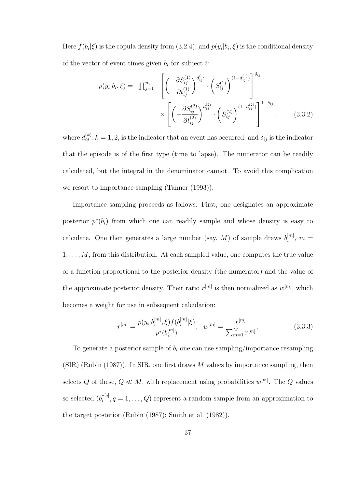Here  $f(b_i|\xi)$  is the copula density from  $(3.2.4)$ , and  $p(y_i|b_i,\xi)$  is the conditional density of the vector of event times given  $b_i$  for subject *i*:

$$
p(y_i|b_i,\xi) = \prod_{j=1}^{n_i} \left[ \left( -\frac{\partial S_{ij}^{(1)}}{\partial t_{ij}^{(1)}} \right)^{d_{ij}^{(1)}} \cdot \left( S_{ij}^{(1)} \right)^{(1-d_{ij}^{(1)})} \right]^{\delta_{ij}} \times \left[ \left( -\frac{\partial S_{ij}^{(2)}}{\partial t_{ij}^{(2)}} \right)^{d_{ij}^{(2)}} \cdot \left( S_{ij}^{(2)} \right)^{(1-d_{ij}^{(2)})} \right]^{1-\delta_{ij}}, \quad (3.3.2)
$$

where  $d_{ij}^{(k)}$ ,  $k = 1, 2$ , is the indicator that an event has occurred; and  $\delta_{ij}$  is the indicator that the episode is of the first type (time to lapse). The numerator can be readily calculated, but the integral in the denominator cannot. To avoid this complication we resort to importance sampling (Tanner (1993)).

Importance sampling proceeds as follows: First, one designates an approximate posterior  $p^*(b_i)$  from which one can readily sample and whose density is easy to calculate. One then generates a large number (say, M) of sample draws  $b_i^{[m]}$  $\binom{[m]}{i},\ m=$  $1, \ldots, M$ , from this distribution. At each sampled value, one computes the true value of a function proportional to the posterior density (the numerator) and the value of the approximate posterior density. Their ratio  $r^{[m]}$  is then normalized as  $w^{[m]}$ , which becomes a weight for use in subsequent calculation:

$$
r^{[m]} = \frac{p(y_i|b_i^{[m]}, \xi) f(b_i^{[m]} | \xi)}{p^*(b_i^{[m]})}, \quad w^{[m]} = \frac{r^{[m]}}{\sum_{m=1}^M r^{[m]}}.
$$
\n(3.3.3)

To generate a posterior sample of  $b_i$  one can use sampling/importance resampling  $(SIR)$  (Rubin (1987)). In SIR, one first draws M values by importance sampling, then selects Q of these,  $Q \ll M$ , with replacement using probabilities  $w^{[m]}$ . The Q values so selected  $(b_i^*^{[q]})$  $i^{[q]}$ ,  $q = 1, \ldots, Q$  represent a random sample from an approximation to the target posterior (Rubin (1987); Smith et al. (1982)).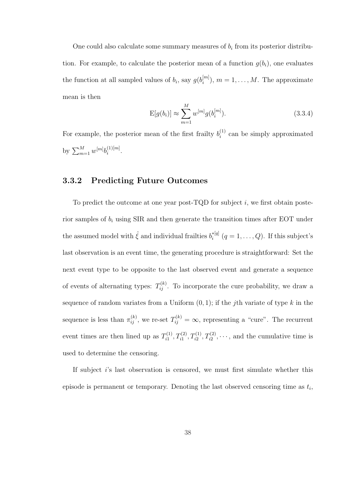One could also calculate some summary measures of  $b_i$  from its posterior distribution. For example, to calculate the posterior mean of a function  $q(b_i)$ , one evaluates the function at all sampled values of  $b_i$ , say  $g(b_i^{[m]}$  $i^{[m]}$ ,  $m = 1, \ldots, M$ . The approximate mean is then

$$
E[g(b_i)] \approx \sum_{m=1}^{M} w^{[m]} g(b_i^{[m]}).
$$
\n(3.3.4)

For example, the posterior mean of the first frailty  $b_i^{(1)}$  $i^{(1)}$  can be simply approximated by  $\sum_{m=1}^{M} w^{[m]} b_i^{(1)[m]}$  $i^{(1)[m]}$ .

#### 3.3.2 Predicting Future Outcomes

To predict the outcome at one year post-TQD for subject  $i$ , we first obtain posterior samples of  $b_i$  using SIR and then generate the transition times after EOT under the assumed model with  $\hat{\xi}$  and individual frailties  $b_i^{*[q]}$  $i^{*[q]}$   $(q = 1, \ldots, Q)$ . If this subject's last observation is an event time, the generating procedure is straightforward: Set the next event type to be opposite to the last observed event and generate a sequence of events of alternating types:  $T_{ij}^{(k)}$ . To incorporate the cure probability, we draw a sequence of random variates from a Uniform  $(0, 1)$ ; if the *j*th variate of type k in the sequence is less than  $\pi_{ij}^{(k)}$ , we re-set  $T_{ij}^{(k)} = \infty$ , representing a "cure". The recurrent event times are then lined up as  $T_{i1}^{(1)}$  $x_{i1}^{(1)}, T_{i1}^{(2)}, T_{i2}^{(1)}, T_{i2}^{(2)}, \cdots$ , and the cumulative time is used to determine the censoring.

If subject  $i$ 's last observation is censored, we must first simulate whether this episode is permanent or temporary. Denoting the last observed censoring time as  $t_i$ ,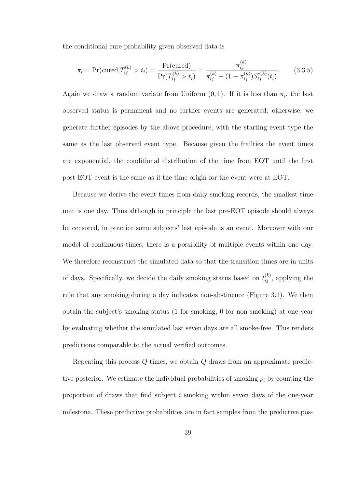the conditional cure probability given observed data is

$$
\pi_i = \Pr(\text{cured} | T_{ij}^{(k)} > t_i) = \frac{\Pr(\text{cured})}{\Pr(T_{ij}^{(k)} > t_i)} = \frac{\pi_{ij}^{(k)}}{\pi_{ij}^{(k)} + (1 - \pi_{ij}^{(k)})S_{ij}^{*(k)}(t_i)}.
$$
(3.3.5)

Again we draw a random variate from Uniform  $(0,1)$ . If it is less than  $\pi_i$ , the last observed status is permanent and no further events are generated; otherwise, we generate further episodes by the above procedure, with the starting event type the same as the last observed event type. Because given the frailties the event times are exponential, the conditional distribution of the time from EOT until the first post-EOT event is the same as if the time origin for the event were at EOT.

Because we derive the event times from daily smoking records, the smallest time unit is one day. Thus although in principle the last pre-EOT episode should always be censored, in practice some subjects' last episode is an event. Moreover with our model of continuous times, there is a possibility of multiple events within one day. We therefore reconstruct the simulated data so that the transition times are in units of days. Specifically, we decide the daily smoking status based on  $t_{ij}^{(k)}$ , applying the rule that any smoking during a day indicates non-abstinence (Figure 3.1). We then obtain the subject's smoking status (1 for smoking, 0 for non-smoking) at one year by evaluating whether the simulated last seven days are all smoke-free. This renders predictions comparable to the actual verified outcomes.

Repeating this process Q times, we obtain Q draws from an approximate predictive posterior. We estimate the individual probabilities of smoking  $p_i$  by counting the proportion of draws that find subject i smoking within seven days of the one-year milestone. These predictive probabilities are in fact samples from the predictive pos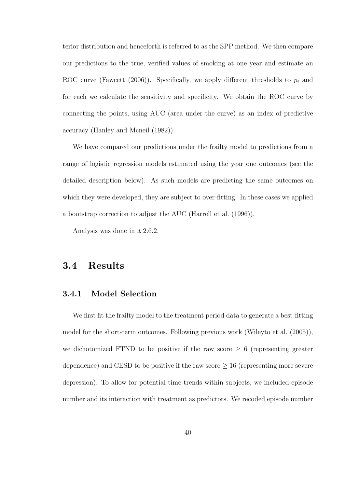terior distribution and henceforth is referred to as the SPP method. We then compare our predictions to the true, verified values of smoking at one year and estimate an ROC curve (Fawcett (2006)). Specifically, we apply different thresholds to  $p_i$  and for each we calculate the sensitivity and specificity. We obtain the ROC curve by connecting the points, using AUC (area under the curve) as an index of predictive accuracy (Hanley and Mcneil (1982)).

We have compared our predictions under the frailty model to predictions from a range of logistic regression models estimated using the year one outcomes (see the detailed description below). As such models are predicting the same outcomes on which they were developed, they are subject to over-fitting. In these cases we applied a bootstrap correction to adjust the AUC (Harrell et al. (1996)).

Analysis was done in R 2.6.2.

#### 3.4 Results

#### 3.4.1 Model Selection

We first fit the frailty model to the treatment period data to generate a best-fitting model for the short-term outcomes. Following previous work (Wileyto et al. (2005)), we dichotomized FTND to be positive if the raw score  $\geq$  6 (representing greater dependence) and CESD to be positive if the raw score  $\geq 16$  (representing more severe depression). To allow for potential time trends within subjects, we included episode number and its interaction with treatment as predictors. We recoded episode number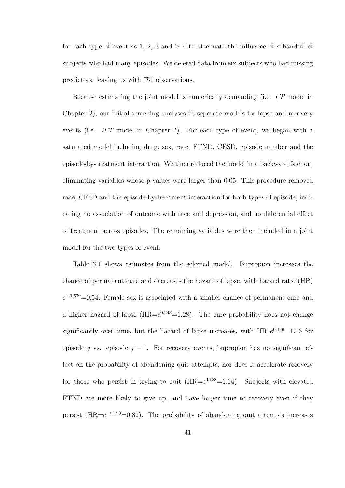for each type of event as 1, 2, 3 and  $\geq$  4 to attenuate the influence of a handful of subjects who had many episodes. We deleted data from six subjects who had missing predictors, leaving us with 751 observations.

Because estimating the joint model is numerically demanding (i.e. CF model in Chapter 2), our initial screening analyses fit separate models for lapse and recovery events (i.e. IFT model in Chapter 2). For each type of event, we began with a saturated model including drug, sex, race, FTND, CESD, episode number and the episode-by-treatment interaction. We then reduced the model in a backward fashion, eliminating variables whose p-values were larger than 0.05. This procedure removed race, CESD and the episode-by-treatment interaction for both types of episode, indicating no association of outcome with race and depression, and no differential effect of treatment across episodes. The remaining variables were then included in a joint model for the two types of event.

Table 3.1 shows estimates from the selected model. Bupropion increases the chance of permanent cure and decreases the hazard of lapse, with hazard ratio (HR)  $e^{-0.609}$ =0.54. Female sex is associated with a smaller chance of permanent cure and a higher hazard of lapse  $(HR=e^{0.243}=1.28)$ . The cure probability does not change significantly over time, but the hazard of lapse increases, with HR  $e^{0.146}$ =1.16 for episode j vs. episode  $j - 1$ . For recovery events, bupropion has no significant effect on the probability of abandoning quit attempts, nor does it accelerate recovery for those who persist in trying to quit  $(HR=e^{0.128}=1.14)$ . Subjects with elevated FTND are more likely to give up, and have longer time to recovery even if they persist ( $HR = e^{-0.198} = 0.82$ ). The probability of abandoning quit attempts increases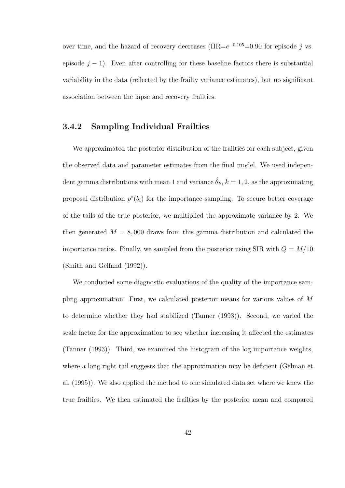over time, and the hazard of recovery decreases  $(HR=e^{-0.105}=0.90$  for episode j vs. episode  $j - 1$ ). Even after controlling for these baseline factors there is substantial variability in the data (reflected by the frailty variance estimates), but no significant association between the lapse and recovery frailties.

#### 3.4.2 Sampling Individual Frailties

We approximated the posterior distribution of the frailties for each subject, given the observed data and parameter estimates from the final model. We used independent gamma distributions with mean 1 and variance  $\hat{\theta}_k$ ,  $k = 1, 2$ , as the approximating proposal distribution  $p^*(b_i)$  for the importance sampling. To secure better coverage of the tails of the true posterior, we multiplied the approximate variance by 2. We then generated  $M = 8,000$  draws from this gamma distribution and calculated the importance ratios. Finally, we sampled from the posterior using SIR with  $Q = M/10$ (Smith and Gelfand (1992)).

We conducted some diagnostic evaluations of the quality of the importance sampling approximation: First, we calculated posterior means for various values of M to determine whether they had stabilized (Tanner (1993)). Second, we varied the scale factor for the approximation to see whether increasing it affected the estimates (Tanner (1993)). Third, we examined the histogram of the log importance weights, where a long right tail suggests that the approximation may be deficient (Gelman et al. (1995)). We also applied the method to one simulated data set where we knew the true frailties. We then estimated the frailties by the posterior mean and compared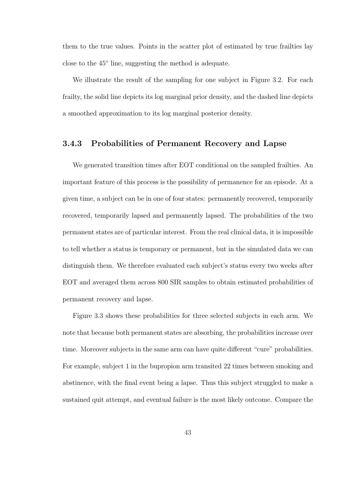them to the true values. Points in the scatter plot of estimated by true frailties lay close to the 45◦ line, suggesting the method is adequate.

We illustrate the result of the sampling for one subject in Figure 3.2. For each frailty, the solid line depicts its log marginal prior density, and the dashed line depicts a smoothed approximation to its log marginal posterior density.

#### 3.4.3 Probabilities of Permanent Recovery and Lapse

We generated transition times after EOT conditional on the sampled frailties. An important feature of this process is the possibility of permanence for an episode. At a given time, a subject can be in one of four states: permanently recovered, temporarily recovered, temporarily lapsed and permanently lapsed. The probabilities of the two permanent states are of particular interest. From the real clinical data, it is impossible to tell whether a status is temporary or permanent, but in the simulated data we can distinguish them. We therefore evaluated each subject's status every two weeks after EOT and averaged them across 800 SIR samples to obtain estimated probabilities of permanent recovery and lapse.

Figure 3.3 shows these probabilities for three selected subjects in each arm. We note that because both permanent states are absorbing, the probabilities increase over time. Moreover subjects in the same arm can have quite different "cure" probabilities. For example, subject 1 in the bupropion arm transited 22 times between smoking and abstinence, with the final event being a lapse. Thus this subject struggled to make a sustained quit attempt, and eventual failure is the most likely outcome. Compare the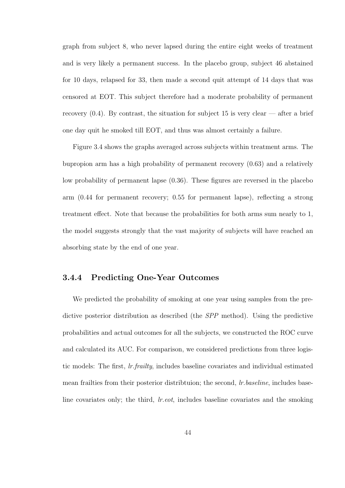graph from subject 8, who never lapsed during the entire eight weeks of treatment and is very likely a permanent success. In the placebo group, subject 46 abstained for 10 days, relapsed for 33, then made a second quit attempt of 14 days that was censored at EOT. This subject therefore had a moderate probability of permanent recovery  $(0.4)$ . By contrast, the situation for subject 15 is very clear — after a brief one day quit he smoked till EOT, and thus was almost certainly a failure.

Figure 3.4 shows the graphs averaged across subjects within treatment arms. The bupropion arm has a high probability of permanent recovery (0.63) and a relatively low probability of permanent lapse (0.36). These figures are reversed in the placebo arm (0.44 for permanent recovery; 0.55 for permanent lapse), reflecting a strong treatment effect. Note that because the probabilities for both arms sum nearly to 1, the model suggests strongly that the vast majority of subjects will have reached an absorbing state by the end of one year.

#### 3.4.4 Predicting One-Year Outcomes

We predicted the probability of smoking at one year using samples from the predictive posterior distribution as described (the SPP method). Using the predictive probabilities and actual outcomes for all the subjects, we constructed the ROC curve and calculated its AUC. For comparison, we considered predictions from three logistic models: The first, lr.frailty, includes baseline covariates and individual estimated mean frailties from their posterior distribtuion; the second, lr.baseline, includes baseline covariates only; the third, lr.eot, includes baseline covariates and the smoking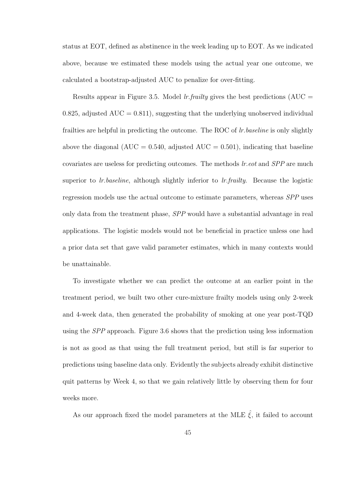status at EOT, defined as abstinence in the week leading up to EOT. As we indicated above, because we estimated these models using the actual year one outcome, we calculated a bootstrap-adjusted AUC to penalize for over-fitting.

Results appear in Figure 3.5. Model lr.frailty gives the best predictions (AUC  $=$ 0.825, adjusted  $AUC = 0.811$ , suggesting that the underlying unobserved individual frailties are helpful in predicting the outcome. The ROC of *lr.baseline* is only slightly above the diagonal ( $AUC = 0.540$ , adjusted  $AUC = 0.501$ ), indicating that baseline covariates are useless for predicting outcomes. The methods lr.eot and SPP are much superior to  $lr.baseline$ , although slightly inferior to  $lr.frailty$ . Because the logistic regression models use the actual outcome to estimate parameters, whereas SPP uses only data from the treatment phase, SPP would have a substantial advantage in real applications. The logistic models would not be beneficial in practice unless one had a prior data set that gave valid parameter estimates, which in many contexts would be unattainable.

To investigate whether we can predict the outcome at an earlier point in the treatment period, we built two other cure-mixture frailty models using only 2-week and 4-week data, then generated the probability of smoking at one year post-TQD using the SPP approach. Figure 3.6 shows that the prediction using less information is not as good as that using the full treatment period, but still is far superior to predictions using baseline data only. Evidently the subjects already exhibit distinctive quit patterns by Week 4, so that we gain relatively little by observing them for four weeks more.

As our approach fixed the model parameters at the MLE  $\hat{\xi}$ , it failed to account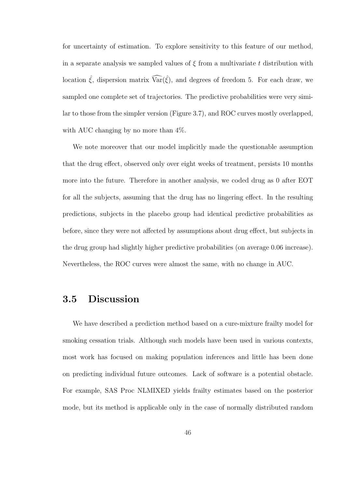for uncertainty of estimation. To explore sensitivity to this feature of our method, in a separate analysis we sampled values of  $\xi$  from a multivariate t distribution with location  $\hat{\xi}$ , dispersion matrix  $\widehat{\text{Var}}(\hat{\xi})$ , and degrees of freedom 5. For each draw, we sampled one complete set of trajectories. The predictive probabilities were very similar to those from the simpler version (Figure 3.7), and ROC curves mostly overlapped, with AUC changing by no more than  $4\%$ .

We note moreover that our model implicitly made the questionable assumption that the drug effect, observed only over eight weeks of treatment, persists 10 months more into the future. Therefore in another analysis, we coded drug as 0 after EOT for all the subjects, assuming that the drug has no lingering effect. In the resulting predictions, subjects in the placebo group had identical predictive probabilities as before, since they were not affected by assumptions about drug effect, but subjects in the drug group had slightly higher predictive probabilities (on average 0.06 increase). Nevertheless, the ROC curves were almost the same, with no change in AUC.

#### 3.5 Discussion

We have described a prediction method based on a cure-mixture frailty model for smoking cessation trials. Although such models have been used in various contexts, most work has focused on making population inferences and little has been done on predicting individual future outcomes. Lack of software is a potential obstacle. For example, SAS Proc NLMIXED yields frailty estimates based on the posterior mode, but its method is applicable only in the case of normally distributed random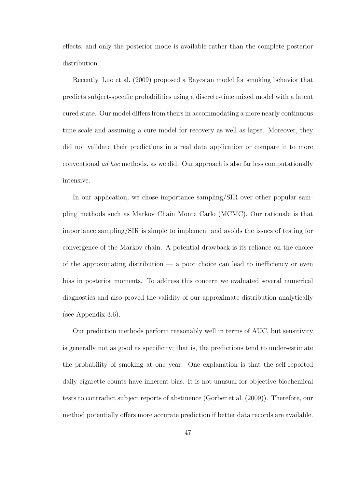effects, and only the posterior mode is available rather than the complete posterior distribution.

Recently, Luo et al. (2009) proposed a Bayesian model for smoking behavior that predicts subject-specific probabilities using a discrete-time mixed model with a latent cured state. Our model differs from theirs in accommodating a more nearly continuous time scale and assuming a cure model for recovery as well as lapse. Moreover, they did not validate their predictions in a real data application or compare it to more conventional ad hoc methods, as we did. Our approach is also far less computationally intensive.

In our application, we chose importance sampling/SIR over other popular sampling methods such as Markov Chain Monte Carlo (MCMC). Our rationale is that importance sampling/SIR is simple to implement and avoids the issues of testing for convergence of the Markov chain. A potential drawback is its reliance on the choice of the approximating distribution  $\frac{1}{2}$  a poor choice can lead to inefficiency or even bias in posterior moments. To address this concern we evaluated several numerical diagnostics and also proved the validity of our approximate distribution analytically (see Appendix 3.6).

Our prediction methods perform reasonably well in terms of AUC, but sensitivity is generally not as good as specificity; that is, the predictions tend to under-estimate the probability of smoking at one year. One explanation is that the self-reported daily cigarette counts have inherent bias. It is not unusual for objective biochemical tests to contradict subject reports of abstinence (Gorber et al. (2009)). Therefore, our method potentially offers more accurate prediction if better data records are available.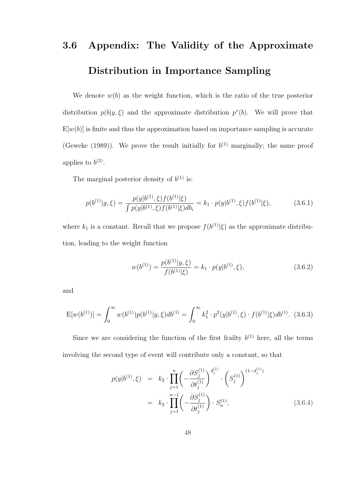## 3.6 Appendix: The Validity of the Approximate Distribution in Importance Sampling

We denote  $w(b)$  as the weight function, which is the ratio of the true posterior distribution  $p(b|y,\xi)$  and the approximate distribution  $p^*(b)$ . We will prove that  $E[w(b)]$  is finite and thus the approximation based on importance sampling is accurate (Geweke (1989)). We prove the result initially for  $b^{(1)}$  marginally; the same proof applies to  $b^{(2)}$ .

The marginal posterior density of  $b^{(1)}$  is:

$$
p(b^{(1)}|y,\xi) = \frac{p(y|b^{(1)},\xi)f(b^{(1)}|\xi)}{\int p(y|b^{(1)},\xi)f(b^{(1)}|\xi)db_i} = k_1 \cdot p(y|b^{(1)},\xi)f(b^{(1)}|\xi),
$$
(3.6.1)

where  $k_1$  is a constant. Recall that we propose  $f(b^{(1)}|\xi)$  as the approximate distribution, leading to the weight function

$$
w(b^{(1)}) = \frac{p(b^{(1)}|y,\xi)}{f(b^{(1)}|\xi)} = k_1 \cdot p(y|b^{(1)},\xi),
$$
\n(3.6.2)

and

$$
E[w(b^{(1)})] = \int_0^\infty w(b^{(1)})p(b^{(1)}|y,\xi)db^{(1)} = \int_0^\infty k_1^2 \cdot p^2(y|b^{(1)},\xi) \cdot f(b^{(1)}|\xi)db^{(1)}.
$$
 (3.6.3)

Since we are considering the function of the first frailty  $b^{(1)}$  here, all the terms involving the second type of event will contribute only a constant, so that

$$
p(y|b^{(1)}, \xi) = k_2 \cdot \prod_{j=1}^n \left( -\frac{\partial S_j^{(1)}}{\partial t_j^{(1)}} \right)^{d_j^{(1)}} \cdot \left( S_j^{(1)} \right)^{(1 - d_j^{(1)})}
$$
  
=  $k_2 \cdot \prod_{j=1}^{n-1} \left( -\frac{\partial S_j^{(1)}}{\partial t_j^{(1)}} \right) \cdot S_n^{(1)},$  (3.6.4)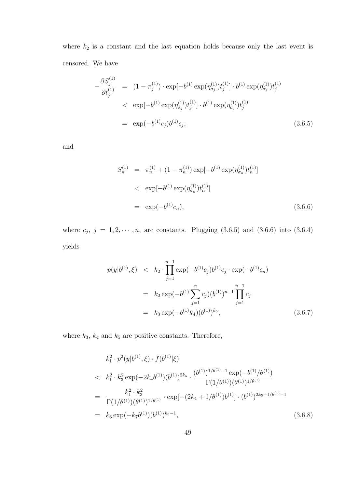where  $k_2$  is a constant and the last equation holds because only the last event is censored. We have

$$
-\frac{\partial S_j^{(1)}}{\partial t_j^{(1)}} = (1 - \pi_j^{(1)}) \cdot \exp[-b^{(1)} \exp(\eta_{\sigma_j}^{(1)}) t_j^{(1)}] \cdot b^{(1)} \exp(\eta_{\sigma_j}^{(1)}) t_j^{(1)} \n< \exp[-b^{(1)} \exp(\eta_{\sigma_j}^{(1)}) t_j^{(1)}] \cdot b^{(1)} \exp(\eta_{\sigma_j}^{(1)}) t_j^{(1)} \n= \exp(-b^{(1)} c_j) b^{(1)} c_j;
$$
\n(3.6.5)

and

$$
S_n^{(1)} = \pi_n^{(1)} + (1 - \pi_n^{(1)}) \exp[-b^{(1)} \exp(\eta_{\sigma_n}^{(1)}) t_n^{(1)}]
$$
  
< 
$$
< \exp[-b^{(1)} \exp(\eta_{\sigma_n}^{(1)}) t_n^{(1)}]
$$
  

$$
= \exp(-b^{(1)} c_n), \qquad (3.6.6)
$$

where  $c_j$ ,  $j = 1, 2, \dots, n$ , are constants. Plugging (3.6.5) and (3.6.6) into (3.6.4) yields

$$
p(y|b^{(1)}, \xi) < k_2 \cdot \prod_{j=1}^{n-1} \exp(-b^{(1)}c_j) b^{(1)}c_j \cdot \exp(-b^{(1)}c_n)
$$
\n
$$
= k_2 \exp(-b^{(1)} \sum_{j=1}^n c_j) (b^{(1)})^{n-1} \prod_{j=1}^{n-1} c_j
$$
\n
$$
= k_3 \exp(-b^{(1)}k_4) (b^{(1)})^{k_5}, \tag{3.6.7}
$$

where  $k_3$ ,  $k_4$  and  $k_5$  are positive constants. Therefore,

$$
k_1^2 \cdot p^2(y|b^{(1)}, \xi) \cdot f(b^{(1)}|\xi)
$$
  
\n
$$
\langle k_1^2 \cdot k_3^2 \exp(-2k_4 b^{(1)})(b^{(1)})^{2k_5} \cdot \frac{(b^{(1)})^{1/\theta^{(1)}-1} \exp(-b^{(1)}/\theta^{(1)})}{\Gamma(1/\theta^{(1)})(\theta^{(1)})^{1/\theta^{(1)}}}
$$
  
\n
$$
= \frac{k_1^2 \cdot k_3^2}{\Gamma(1/\theta^{(1)})(\theta^{(1)})^{1/\theta^{(1)}}} \cdot \exp[-(2k_4 + 1/\theta^{(1)})b^{(1)}] \cdot (b^{(1)})^{2k_5 + 1/\theta^{(1)} - 1}
$$
  
\n
$$
= k_6 \exp(-k_7 b^{(1)})(b^{(1)})^{k_8 - 1},
$$
\n(3.6.8)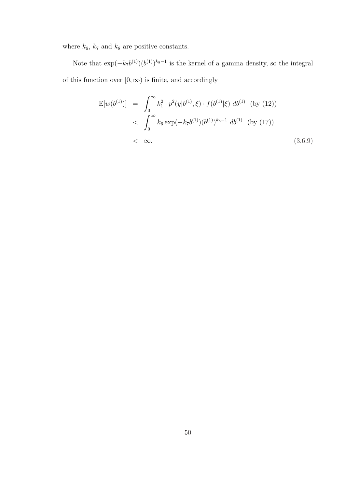where  $k_6,\,k_7$  and  $k_8$  are positive constants.

Note that  $\exp(-k_7b^{(1)})(b^{(1)})^{k_8-1}$  is the kernel of a gamma density, so the integral of this function over  $[0, \infty)$  is finite, and accordingly

$$
E[w(b^{(1)})] = \int_0^\infty k_1^2 \cdot p^2(y|b^{(1)}, \xi) \cdot f(b^{(1)}|\xi) db^{(1)} \text{ (by (12))}
$$
  
< 
$$
< \int_0^\infty k_6 \exp(-k_7b^{(1)})(b^{(1)})^{k_8-1} db^{(1)} \text{ (by (17))}
$$
  
< 
$$
< \infty.
$$
 (3.6.9)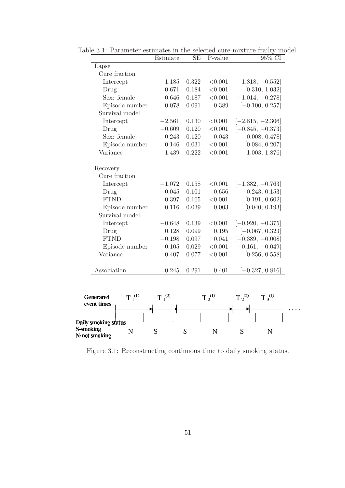|               | Estimate                                                                                                                                                                                                                                                                         | <b>SE</b> | P-value | 95% CI             |
|---------------|----------------------------------------------------------------------------------------------------------------------------------------------------------------------------------------------------------------------------------------------------------------------------------|-----------|---------|--------------------|
|               |                                                                                                                                                                                                                                                                                  |           |         |                    |
| Cure fraction |                                                                                                                                                                                                                                                                                  |           |         |                    |
|               | $-1.185$                                                                                                                                                                                                                                                                         | 0.322     | < 0.001 | $[-1.818, -0.552]$ |
|               | 0.671                                                                                                                                                                                                                                                                            | 0.184     | < 0.001 | [0.310, 1.032]     |
|               | $-0.646$                                                                                                                                                                                                                                                                         | 0.187     | < 0.001 | $[-1.014, -0.278]$ |
|               | 0.078                                                                                                                                                                                                                                                                            | 0.091     | 0.389   | $[-0.100, 0.257]$  |
|               |                                                                                                                                                                                                                                                                                  |           |         |                    |
|               | $-2.561$                                                                                                                                                                                                                                                                         | 0.130     | < 0.001 | $[-2.815, -2.306]$ |
|               | $-0.609$                                                                                                                                                                                                                                                                         | 0.120     | < 0.001 | $[-0.845, -0.373]$ |
|               | 0.243                                                                                                                                                                                                                                                                            | 0.120     | 0.043   | [0.008, 0.478]     |
|               | 0.146                                                                                                                                                                                                                                                                            | 0.031     | < 0.001 | [0.084, 0.207]     |
|               | 1.439                                                                                                                                                                                                                                                                            | 0.222     | < 0.001 | [1.003, 1.876]     |
|               |                                                                                                                                                                                                                                                                                  |           |         |                    |
|               |                                                                                                                                                                                                                                                                                  |           |         |                    |
|               | $-1.072$                                                                                                                                                                                                                                                                         | 0.158     | < 0.001 | $[-1.382, -0.763]$ |
|               | $-0.045$                                                                                                                                                                                                                                                                         | 0.101     | 0.656   | $[-0.243, 0.153]$  |
|               | 0.397                                                                                                                                                                                                                                                                            | 0.105     | < 0.001 | [0.191, 0.602]     |
|               | 0.116                                                                                                                                                                                                                                                                            | 0.039     | 0.003   | [0.040, 0.193]     |
|               |                                                                                                                                                                                                                                                                                  |           |         |                    |
|               | $-0.648$                                                                                                                                                                                                                                                                         | 0.139     | < 0.001 | $[-0.920, -0.375]$ |
|               | 0.128                                                                                                                                                                                                                                                                            | 0.099     | 0.195   | $[-0.067, 0.323]$  |
|               | $-0.198$                                                                                                                                                                                                                                                                         | 0.097     | 0.041   | $[-0.389, -0.008]$ |
|               | $-0.105$                                                                                                                                                                                                                                                                         | 0.029     | < 0.001 | $[-0.161, -0.049]$ |
|               | 0.407                                                                                                                                                                                                                                                                            | 0.077     | < 0.001 | [0.256, 0.558]     |
|               | 0.245                                                                                                                                                                                                                                                                            | 0.291     | 0.401   | $[-0.327, 0.816]$  |
|               | Intercept<br>Sex: female<br>Episode number<br>Survival model<br>Intercept<br>Sex: female<br>Episode number<br>Variance<br>Cure fraction<br>Intercept<br><b>FTND</b><br>Episode number<br>Survival model<br>Intercept<br><b>FTND</b><br>Episode number<br>Variance<br>Association |           |         |                    |

Table 3.1: Parameter estimates in the selected cure-mixture frailty model.

Figure 3.1: Reconstructing continuous time to daily smoking status.

 $\ddotsc$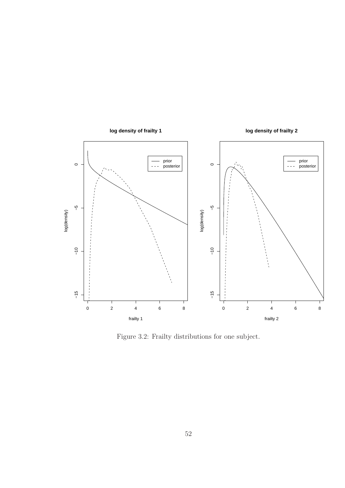

Figure 3.2: Frailty distributions for one subject.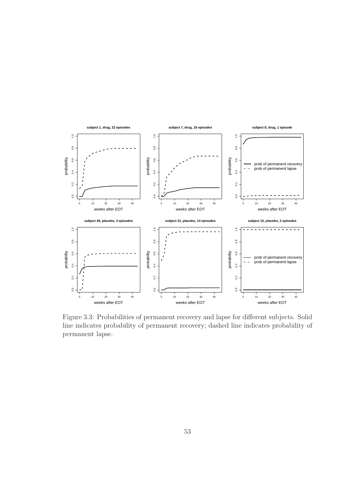

Figure 3.3: Probabilities of permanent recovery and lapse for different subjects. Solid line indicates probability of permanent recovery; dashed line indicates probability of permanent lapse.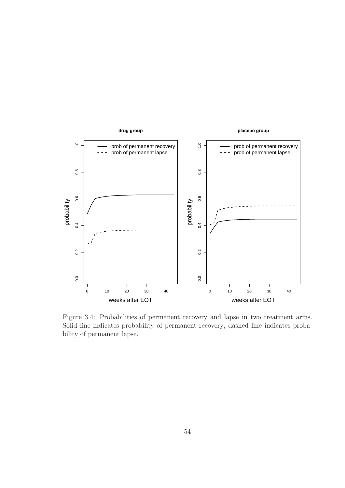

Figure 3.4: Probabilities of permanent recovery and lapse in two treatment arms. Solid line indicates probability of permanent recovery; dashed line indicates probability of permanent lapse.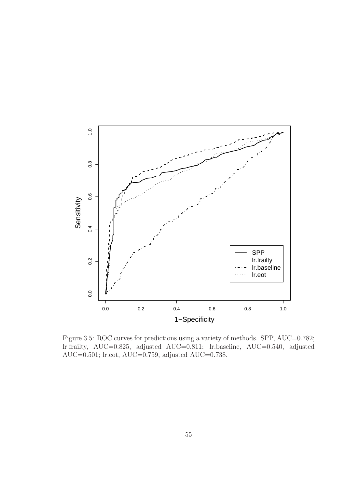

Figure 3.5: ROC curves for predictions using a variety of methods. SPP, AUC=0.782; lr.frailty, AUC=0.825, adjusted AUC=0.811; lr.baseline, AUC=0.540, adjusted AUC=0.501; lr.eot, AUC=0.759, adjusted AUC=0.738.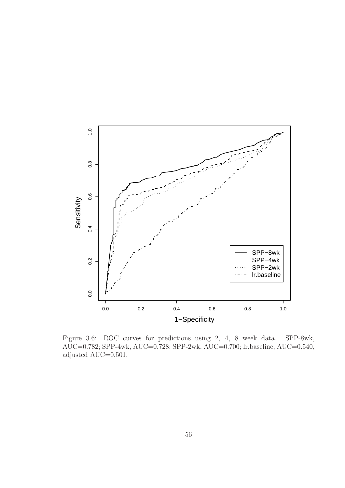

Figure 3.6: ROC curves for predictions using 2, 4, 8 week data. SPP-8wk, AUC=0.782; SPP-4wk, AUC=0.728; SPP-2wk, AUC=0.700; lr.baseline, AUC=0.540, adjusted AUC=0.501.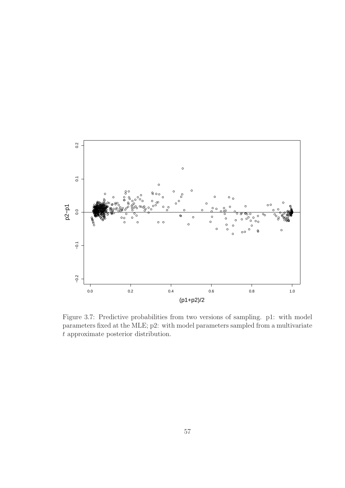

Figure 3.7: Predictive probabilities from two versions of sampling. p1: with model parameters fixed at the MLE; p2: with model parameters sampled from a multivariate t approximate posterior distribution.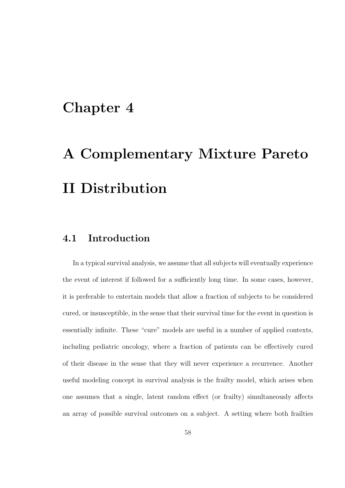### Chapter 4

# A Complementary Mixture Pareto II Distribution

#### 4.1 Introduction

In a typical survival analysis, we assume that all subjects will eventually experience the event of interest if followed for a sufficiently long time. In some cases, however, it is preferable to entertain models that allow a fraction of subjects to be considered cured, or insusceptible, in the sense that their survival time for the event in question is essentially infinite. These "cure" models are useful in a number of applied contexts, including pediatric oncology, where a fraction of patients can be effectively cured of their disease in the sense that they will never experience a recurrence. Another useful modeling concept in survival analysis is the frailty model, which arises when one assumes that a single, latent random effect (or frailty) simultaneously affects an array of possible survival outcomes on a subject. A setting where both frailties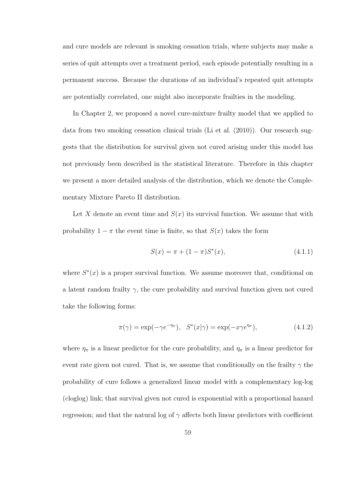and cure models are relevant is smoking cessation trials, where subjects may make a series of quit attempts over a treatment period, each episode potentially resulting in a permanent success. Because the durations of an individual's repeated quit attempts are potentially correlated, one might also incorporate frailties in the modeling.

In Chapter 2, we proposed a novel cure-mixture frailty model that we applied to data from two smoking cessation clinical trials (Li et al. (2010)). Our research suggests that the distribution for survival given not cured arising under this model has not previously been described in the statistical literature. Therefore in this chapter we present a more detailed analysis of the distribution, which we denote the Complementary Mixture Pareto II distribution.

Let X denote an event time and  $S(x)$  its survival function. We assume that with probability  $1 - \pi$  the event time is finite, so that  $S(x)$  takes the form

$$
S(x) = \pi + (1 - \pi)S^*(x), \tag{4.1.1}
$$

where  $S^*(x)$  is a proper survival function. We assume moreover that, conditional on a latent random frailty  $\gamma$ , the cure probability and survival function given not cured take the following forms:

$$
\pi(\gamma) = \exp(-\gamma e^{-\eta_{\pi}}), \quad S^*(x|\gamma) = \exp(-x\gamma e^{\eta_{\sigma}}), \tag{4.1.2}
$$

where  $\eta_{\pi}$  is a linear predictor for the cure probability, and  $\eta_{\sigma}$  is a linear predictor for event rate given not cured. That is, we assume that conditionally on the frailty  $\gamma$  the probability of cure follows a generalized linear model with a complementary log-log (cloglog) link; that survival given not cured is exponential with a proportional hazard regression; and that the natural log of  $\gamma$  affects both linear predictors with coefficient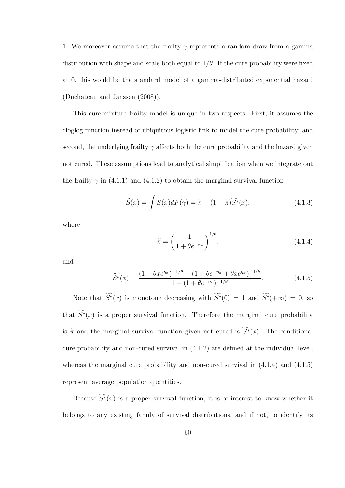1. We moreover assume that the frailty  $\gamma$  represents a random draw from a gamma distribution with shape and scale both equal to  $1/\theta$ . If the cure probability were fixed at 0, this would be the standard model of a gamma-distributed exponential hazard (Duchateau and Janssen (2008)).

This cure-mixture frailty model is unique in two respects: First, it assumes the cloglog function instead of ubiquitous logistic link to model the cure probability; and second, the underlying frailty  $\gamma$  affects both the cure probability and the hazard given not cured. These assumptions lead to analytical simplification when we integrate out the frailty  $\gamma$  in (4.1.1) and (4.1.2) to obtain the marginal survival function

$$
\widetilde{S}(x) = \int S(x)dF(\gamma) = \widetilde{\pi} + (1 - \widetilde{\pi})\widetilde{S}^*(x),
$$
\n(4.1.3)

where

$$
\widetilde{\pi} = \left(\frac{1}{1 + \theta e^{-\eta_{\pi}}}\right)^{1/\theta},\tag{4.1.4}
$$

and

$$
\widetilde{S}^*(x) = \frac{(1 + \theta x e^{\eta_\sigma})^{-1/\theta} - (1 + \theta e^{-\eta_\pi} + \theta x e^{\eta_\sigma})^{-1/\theta}}{1 - (1 + \theta e^{-\eta_\pi})^{-1/\theta}}.
$$
\n(4.1.5)

Note that  $\widetilde{S^*}(x)$  is monotone decreasing with  $\widetilde{S^*}(0) = 1$  and  $\widetilde{S^*}(+\infty) = 0$ , so that  $\widetilde{S^*}(x)$  is a proper survival function. Therefore the marginal cure probability is  $\widetilde{\pi}$  and the marginal survival function given not cured is  $\widetilde{S}^*(x)$ . The conditional cure probability and non-cured survival in (4.1.2) are defined at the individual level, whereas the marginal cure probability and non-cured survival in  $(4.1.4)$  and  $(4.1.5)$ represent average population quantities.

Because  $\widetilde{S^*}(x)$  is a proper survival function, it is of interest to know whether it belongs to any existing family of survival distributions, and if not, to identify its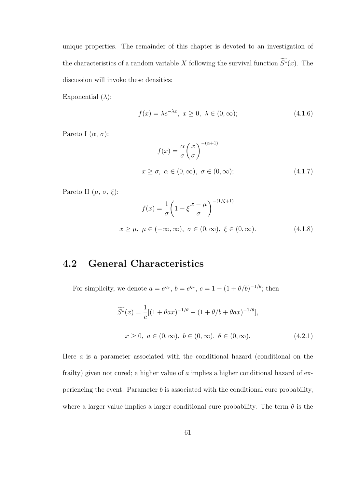unique properties. The remainder of this chapter is devoted to an investigation of the characteristics of a random variable X following the survival function  $\widetilde{S^*}(x)$ . The discussion will invoke these densities:

Exponential  $(\lambda)$ :

$$
f(x) = \lambda e^{-\lambda x}, \ x \ge 0, \ \lambda \in (0, \infty); \tag{4.1.6}
$$

Pareto I  $(\alpha, \sigma)$ :

$$
f(x) = \frac{\alpha}{\sigma} \left(\frac{x}{\sigma}\right)^{-(\alpha+1)}
$$
  

$$
x \ge \sigma, \ \alpha \in (0, \infty), \ \sigma \in (0, \infty); \tag{4.1.7}
$$

Pareto II  $(\mu, \sigma, \xi)$ :

$$
f(x) = \frac{1}{\sigma} \left( 1 + \xi \frac{x - \mu}{\sigma} \right)^{-(1/\xi + 1)}
$$
  

$$
x \ge \mu, \ \mu \in (-\infty, \infty), \ \sigma \in (0, \infty), \ \xi \in (0, \infty).
$$
 (4.1.8)

### 4.2 General Characteristics

For simplicity, we denote  $a = e^{\eta_{\sigma}}, b = e^{\eta_{\pi}}, c = 1 - (1 + \theta/b)^{-1/\theta}$ ; then

$$
\widetilde{S^*}(x) = \frac{1}{c} [(1 + \theta a x)^{-1/\theta} - (1 + \theta/b + \theta a x)^{-1/\theta}],
$$
  

$$
x \ge 0, \ a \in (0, \infty), \ b \in (0, \infty), \ \theta \in (0, \infty).
$$
 (4.2.1)

Here a is a parameter associated with the conditional hazard (conditional on the frailty) given not cured; a higher value of a implies a higher conditional hazard of experiencing the event. Parameter  $b$  is associated with the conditional cure probability, where a larger value implies a larger conditional cure probability. The term  $\theta$  is the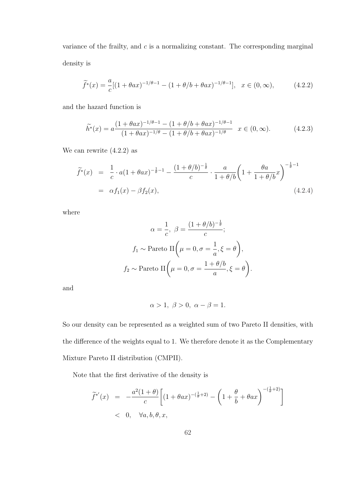variance of the frailty, and  $c$  is a normalizing constant. The corresponding marginal density is

$$
\widetilde{f}^*(x) = \frac{a}{c} [(1 + \theta a x)^{-1/\theta - 1} - (1 + \theta/b + \theta a x)^{-1/\theta - 1}], \quad x \in (0, \infty), \tag{4.2.2}
$$

and the hazard function is

$$
\widetilde{h}^*(x) = a \frac{(1 + \theta a x)^{-1/\theta - 1} - (1 + \theta/b + \theta a x)^{-1/\theta - 1}}{(1 + \theta a x)^{-1/\theta} - (1 + \theta/b + \theta a x)^{-1/\theta}} \quad x \in (0, \infty).
$$
 (4.2.3)

We can rewrite (4.2.2) as

$$
\widetilde{f}^*(x) = \frac{1}{c} \cdot a(1 + \theta a x)^{-\frac{1}{\theta} - 1} - \frac{(1 + \theta/b)^{-\frac{1}{\theta}}}{c} \cdot \frac{a}{1 + \theta/b} \left(1 + \frac{\theta a}{1 + \theta/b} x\right)^{-\frac{1}{\theta} - 1}
$$
\n
$$
= \alpha f_1(x) - \beta f_2(x), \tag{4.2.4}
$$

where

$$
\alpha = \frac{1}{c}, \ \beta = \frac{(1 + \theta/b)^{-\frac{1}{\theta}}}{c};
$$

$$
f_1 \sim \text{Pareto II} \left(\mu = 0, \sigma = \frac{1}{a}, \xi = \theta\right),
$$

$$
f_2 \sim \text{Pareto II} \left(\mu = 0, \sigma = \frac{1 + \theta/b}{a}, \xi = \theta\right).
$$

and

$$
\alpha > 1, \ \beta > 0, \ \alpha - \beta = 1.
$$

So our density can be represented as a weighted sum of two Pareto II densities, with the difference of the weights equal to 1. We therefore denote it as the Complementary Mixture Pareto II distribution (CMPII).

Note that the first derivative of the density is

$$
\widetilde{f}^{*'}(x) = -\frac{a^2(1+\theta)}{c} \left[ (1+\theta ax)^{-(\frac{1}{\theta}+2)} - \left( 1 + \frac{\theta}{b} + \theta ax \right)^{-(\frac{1}{\theta}+2)} \right]
$$
\n
$$
< 0, \quad \forall a, b, \theta, x,
$$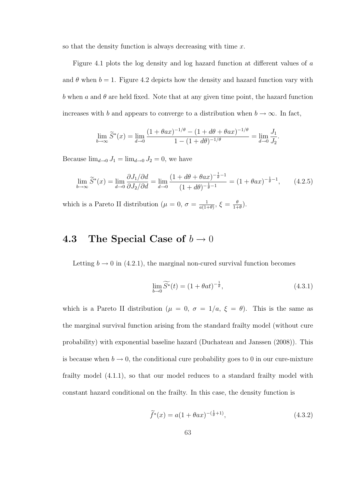so that the density function is always decreasing with time  $x$ .

Figure 4.1 plots the log density and log hazard function at different values of a and  $\theta$  when  $b = 1$ . Figure 4.2 depicts how the density and hazard function vary with b when a and  $\theta$  are held fixed. Note that at any given time point, the hazard function increases with b and appears to converge to a distribution when  $b \to \infty$ . In fact,

$$
\lim_{b \to \infty} \widetilde{S}^*(x) = \lim_{d \to 0} \frac{(1 + \theta a x)^{-1/\theta} - (1 + d\theta + \theta a x)^{-1/\theta}}{1 - (1 + d\theta)^{-1/\theta}} = \lim_{d \to 0} \frac{J_1}{J_2}
$$

Because  $\lim_{d\to 0} J_1 = \lim_{d\to 0} J_2 = 0$ , we have

$$
\lim_{b \to \infty} \tilde{S}^*(x) = \lim_{d \to 0} \frac{\partial J_1 / \partial d}{\partial J_2 / \partial d} = \lim_{d \to 0} \frac{(1 + d\theta + \theta a x)^{-\frac{1}{\theta} - 1}}{(1 + d\theta)^{-\frac{1}{\theta} - 1}} = (1 + \theta a x)^{-\frac{1}{\theta} - 1}, \quad (4.2.5)
$$

which is a Pareto II distribution ( $\mu = 0$ ,  $\sigma = \frac{1}{g(1)}$  $\frac{1}{a(1+\theta)}$ ,  $\xi = \frac{\theta}{1+\theta}$  $\frac{\theta}{1+\theta}$ ).

## 4.3 The Special Case of  $b \to 0$

Letting  $b \to 0$  in (4.2.1), the marginal non-cured survival function becomes

$$
\lim_{b \to 0} \widetilde{S^*}(t) = (1 + \theta a t)^{-\frac{1}{\theta}},\tag{4.3.1}
$$

.

which is a Pareto II distribution ( $\mu = 0$ ,  $\sigma = 1/a$ ,  $\xi = \theta$ ). This is the same as the marginal survival function arising from the standard frailty model (without cure probability) with exponential baseline hazard (Duchateau and Janssen (2008)). This is because when  $b \to 0$ , the conditional cure probability goes to 0 in our cure-mixture frailty model (4.1.1), so that our model reduces to a standard frailty model with constant hazard conditional on the frailty. In this case, the density function is

$$
\widetilde{f}^*(x) = a(1 + \theta a x)^{-(\frac{1}{\theta} + 1)},\tag{4.3.2}
$$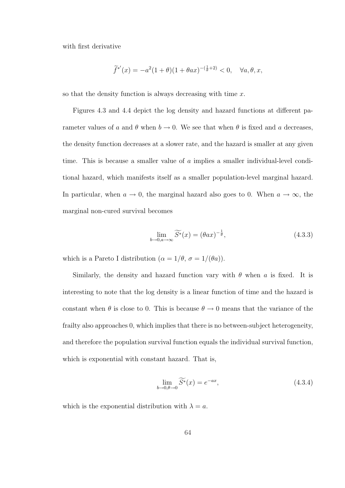with first derivative

$$
\widetilde{f}^{*'}(x) = -a^2(1+\theta)(1+\theta ax)^{-(\frac{1}{\theta}+2)} < 0, \quad \forall a, \theta, x,
$$

so that the density function is always decreasing with time  $x$ .

Figures 4.3 and 4.4 depict the log density and hazard functions at different parameter values of a and  $\theta$  when  $b \to 0$ . We see that when  $\theta$  is fixed and a decreases, the density function decreases at a slower rate, and the hazard is smaller at any given time. This is because a smaller value of a implies a smaller individual-level conditional hazard, which manifests itself as a smaller population-level marginal hazard. In particular, when  $a \to 0$ , the marginal hazard also goes to 0. When  $a \to \infty$ , the marginal non-cured survival becomes

$$
\lim_{b \to 0, a \to \infty} \widetilde{S^*}(x) = (\theta a x)^{-\frac{1}{\theta}},\tag{4.3.3}
$$

which is a Pareto I distribution ( $\alpha = 1/\theta$ ,  $\sigma = 1/(\theta a)$ ).

Similarly, the density and hazard function vary with  $\theta$  when a is fixed. It is interesting to note that the log density is a linear function of time and the hazard is constant when  $\theta$  is close to 0. This is because  $\theta \to 0$  means that the variance of the frailty also approaches 0, which implies that there is no between-subject heterogeneity, and therefore the population survival function equals the individual survival function, which is exponential with constant hazard. That is,

$$
\lim_{b \to 0, \theta \to 0} \widetilde{S^*}(x) = e^{-ax},\tag{4.3.4}
$$

which is the exponential distribution with  $\lambda = a$ .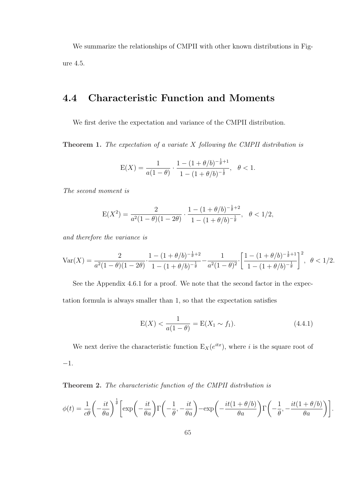We summarize the relationships of CMPII with other known distributions in Figure 4.5.

## 4.4 Characteristic Function and Moments

We first derive the expectation and variance of the CMPII distribution.

**Theorem 1.** The expectation of a variate  $X$  following the CMPII distribution is

$$
E(X) = \frac{1}{a(1-\theta)} \cdot \frac{1 - (1+\theta/b)^{-\frac{1}{\theta}+1}}{1 - (1+\theta/b)^{-\frac{1}{\theta}}}, \quad \theta < 1.
$$

The second moment is

$$
E(X^{2}) = \frac{2}{a^{2}(1-\theta)(1-2\theta)} \cdot \frac{1 - (1+\theta/b)^{-\frac{1}{\theta}+2}}{1 - (1+\theta/b)^{-\frac{1}{\theta}}}, \quad \theta < 1/2,
$$

and therefore the variance is

$$
\text{Var}(X) = \frac{2}{a^2(1-\theta)(1-2\theta)} \cdot \frac{1 - (1+\theta/b)^{-\frac{1}{\theta}+2}}{1 - (1+\theta/b)^{-\frac{1}{\theta}}} - \frac{1}{a^2(1-\theta)^2} \cdot \left[ \frac{1 - (1+\theta/b)^{-\frac{1}{\theta}+1}}{1 - (1+\theta/b)^{-\frac{1}{\theta}}} \right]^2, \quad \theta < 1/2.
$$

See the Appendix 4.6.1 for a proof. We note that the second factor in the expectation formula is always smaller than 1, so that the expectation satisfies

$$
E(X) < \frac{1}{a(1-\theta)} = E(X_1 \sim f_1). \tag{4.4.1}
$$

We next derive the characteristic function  $E_X(e^{itx})$ , where i is the square root of −1.

Theorem 2. The characteristic function of the CMPII distribution is

$$
\phi(t) = \frac{1}{c\theta} \left( -\frac{it}{\theta a} \right)^{\frac{1}{\theta}} \left[ \exp\left( -\frac{it}{\theta a} \right) \Gamma\left( -\frac{1}{\theta}, -\frac{it}{\theta a} \right) - \exp\left( -\frac{it(1+\theta/b)}{\theta a} \right) \Gamma\left( -\frac{1}{\theta}, -\frac{it(1+\theta/b)}{\theta a} \right) \right].
$$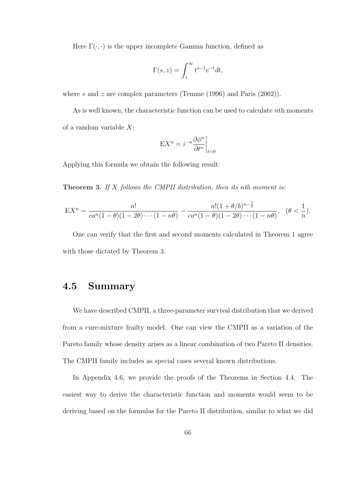Here  $\Gamma(\cdot, \cdot)$  is the upper incomplete Gamma function, defined as

$$
\Gamma(s,z) = \int_z^{\infty} t^{s-1} e^{-t} dt,
$$

where s and z are complex parameters (Temme  $(1996)$  and Paris  $(2002)$ ).

As is well known, the characteristic function can be used to calculate nth moments of a random variable  $X$ :

$$
EX^{n} = i^{-n} \frac{\partial \phi^{n}}{\partial t^{n}} \bigg|_{t=0}
$$

Applying this formula we obtain the following result:

**Theorem 3.** If  $X$  follows the CMPII distribution, then its nth moment is:

$$
EX^{n} = \frac{n!}{ca^{n}(1-\theta)(1-2\theta)\cdots(1-n\theta)} - \frac{n!(1+\theta/b)^{n-\frac{1}{\theta}}}{ca^{n}(1-\theta)(1-2\theta)\cdots(1-n\theta)}, \quad (\theta < \frac{1}{n}).
$$

One can verify that the first and second moments calculated in Theorem 1 agree with those dictated by Theorem 3.

### 4.5 Summary

We have described CMPII, a three-parameter survival distribution that we derived from a cure-mixture frailty model. One can view the CMPII as a variation of the Pareto family whose density arises as a linear combination of two Pareto II densities. The CMPII family includes as special cases several known distributions.

In Appendix 4.6, we provide the proofs of the Theorems in Section 4.4. The easiest way to derive the characteristic function and moments would seem to be deriving based on the formulas for the Pareto II distribution, similar to what we did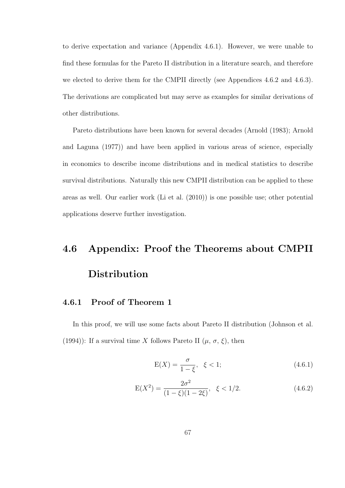to derive expectation and variance (Appendix 4.6.1). However, we were unable to find these formulas for the Pareto II distribution in a literature search, and therefore we elected to derive them for the CMPII directly (see Appendices 4.6.2 and 4.6.3). The derivations are complicated but may serve as examples for similar derivations of other distributions.

Pareto distributions have been known for several decades (Arnold (1983); Arnold and Laguna (1977)) and have been applied in various areas of science, especially in economics to describe income distributions and in medical statistics to describe survival distributions. Naturally this new CMPII distribution can be applied to these areas as well. Our earlier work (Li et al. (2010)) is one possible use; other potential applications deserve further investigation.

# 4.6 Appendix: Proof the Theorems about CMPII Distribution

#### 4.6.1 Proof of Theorem 1

In this proof, we will use some facts about Pareto II distribution (Johnson et al. (1994)): If a survival time X follows Pareto II  $(\mu, \sigma, \xi)$ , then

$$
E(X) = \frac{\sigma}{1 - \xi}, \ \xi < 1; \tag{4.6.1}
$$

$$
E(X2) = \frac{2\sigma^{2}}{(1-\xi)(1-2\xi)}, \quad \xi < 1/2.
$$
 (4.6.2)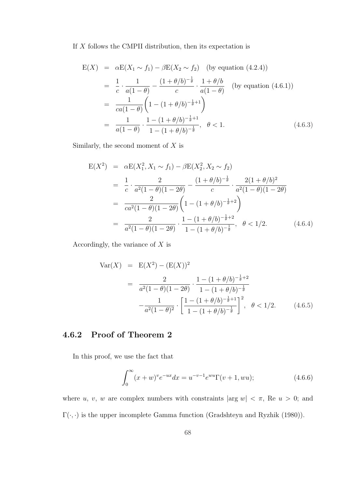#### If  $X$  follows the CMPII distribution, then its expectation is

$$
E(X) = \alpha E(X_1 \sim f_1) - \beta E(X_2 \sim f_2) \quad \text{(by equation (4.2.4))}
$$
\n
$$
= \frac{1}{c} \cdot \frac{1}{a(1-\theta)} - \frac{(1+\theta/b)^{-\frac{1}{\theta}}}{c} \cdot \frac{1+\theta/b}{a(1-\theta)} \quad \text{(by equation (4.6.1))}
$$
\n
$$
= \frac{1}{ca(1-\theta)} \left(1 - (1+\theta/b)^{-\frac{1}{\theta}+1}\right)
$$
\n
$$
= \frac{1}{a(1-\theta)} \cdot \frac{1 - (1+\theta/b)^{-\frac{1}{\theta}+1}}{1 - (1+\theta/b)^{-\frac{1}{\theta}}}, \quad \theta < 1.
$$
\n(4.6.3)

Similarly, the second moment of  $X$  is

$$
E(X^{2}) = \alpha E(X_{1}^{2}, X_{1} \sim f_{1}) - \beta E(X_{2}^{2}, X_{2} \sim f_{2})
$$
  
\n
$$
= \frac{1}{c} \cdot \frac{2}{a^{2}(1-\theta)(1-2\theta)} - \frac{(1+\theta/b)^{-\frac{1}{\theta}}}{c} \cdot \frac{2(1+\theta/b)^{2}}{a^{2}(1-\theta)(1-2\theta)}
$$
  
\n
$$
= \frac{2}{ca^{2}(1-\theta)(1-2\theta)} \left(1 - (1+\theta/b)^{-\frac{1}{\theta}+2}\right)
$$
  
\n
$$
= \frac{2}{a^{2}(1-\theta)(1-2\theta)} \cdot \frac{1 - (1+\theta/b)^{-\frac{1}{\theta}+2}}{1 - (1+\theta/b)^{-\frac{1}{\theta}}}, \quad \theta < 1/2.
$$
 (4.6.4)

Accordingly, the variance of  $X$  is

$$
\begin{array}{rcl}\n\text{Var}(X) & = & \mathcal{E}(X^2) - (\mathcal{E}(X))^2 \\
& = & \frac{2}{a^2(1-\theta)(1-2\theta)} \cdot \frac{1 - (1+\theta/b)^{-\frac{1}{\theta}+2}}{1 - (1+\theta/b)^{-\frac{1}{\theta}}} \\
& & -\frac{1}{a^2(1-\theta)^2} \cdot \left[ \frac{1 - (1+\theta/b)^{-\frac{1}{\theta}+1}}{1 - (1+\theta/b)^{-\frac{1}{\theta}}} \right]^2, \quad \theta < 1/2.\n\end{array} \tag{4.6.5}
$$

### 4.6.2 Proof of Theorem 2

In this proof, we use the fact that

$$
\int_0^\infty (x+w)^v e^{-ux} dx = u^{-v-1} e^{wu} \Gamma(v+1, wu); \tag{4.6.6}
$$

where u, v, w are complex numbers with constraints  $|\arg w| < \pi$ , Re  $u > 0$ ; and  $\Gamma(\cdot,\cdot)$  is the upper incomplete Gamma function (Gradshteyn and Ryzhik (1980)).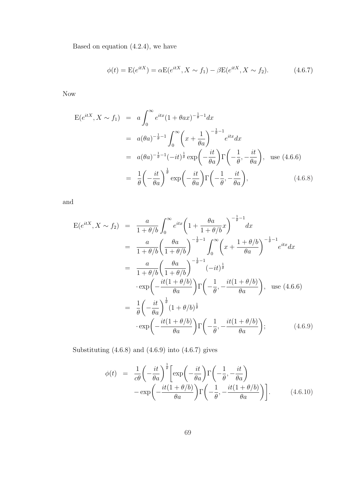Based on equation  $(4.2.4)$ , we have

$$
\phi(t) = \mathcal{E}(e^{itX}) = \alpha \mathcal{E}(e^{itX}, X \sim f_1) - \beta \mathcal{E}(e^{itX}, X \sim f_2).
$$
 (4.6.7)

Now

$$
E(e^{itX}, X \sim f_1) = a \int_0^\infty e^{itx} (1 + \theta a x)^{-\frac{1}{\theta} - 1} dx
$$
  
\n
$$
= a(\theta a)^{-\frac{1}{\theta} - 1} \int_0^\infty \left( x + \frac{1}{\theta a} \right)^{-\frac{1}{\theta} - 1} e^{itx} dx
$$
  
\n
$$
= a(\theta a)^{-\frac{1}{\theta} - 1} (-it)^{\frac{1}{\theta}} \exp\left( -\frac{it}{\theta a} \right) \Gamma\left( -\frac{1}{\theta}, -\frac{it}{\theta a} \right), \text{ use (4.6.6)}
$$
  
\n
$$
= \frac{1}{\theta} \left( -\frac{it}{\theta a} \right)^{\frac{1}{\theta}} \exp\left( -\frac{it}{\theta a} \right) \Gamma\left( -\frac{1}{\theta}, -\frac{it}{\theta a} \right), \text{ (4.6.8)}
$$

and

$$
E(e^{itX}, X \sim f_2) = \frac{a}{1 + \theta/b} \int_0^\infty e^{itx} \left(1 + \frac{\theta a}{1 + \theta/b} x\right)^{-\frac{1}{\theta} - 1} dx
$$
  
\n
$$
= \frac{a}{1 + \theta/b} \left(\frac{\theta a}{1 + \theta/b}\right)^{-\frac{1}{\theta} - 1} \int_0^\infty \left(x + \frac{1 + \theta/b}{\theta a}\right)^{-\frac{1}{\theta} - 1} e^{itx} dx
$$
  
\n
$$
= \frac{a}{1 + \theta/b} \left(\frac{\theta a}{1 + \theta/b}\right)^{-\frac{1}{\theta} - 1} (-it)^{\frac{1}{\theta}}
$$
  
\n
$$
\cdot \exp\left(-\frac{it(1 + \theta/b)}{\theta a}\right) \Gamma\left(-\frac{1}{\theta}, -\frac{it(1 + \theta/b)}{\theta a}\right), \text{ use (4.6.6)}
$$
  
\n
$$
= \frac{1}{\theta} \left(-\frac{it}{\theta a}\right)^{\frac{1}{\theta}} (1 + \theta/b)^{\frac{1}{\theta}}
$$
  
\n
$$
\cdot \exp\left(-\frac{it(1 + \theta/b)}{\theta a}\right) \Gamma\left(-\frac{1}{\theta}, -\frac{it(1 + \theta/b)}{\theta a}\right); \qquad (4.6.9)
$$

Substituting (4.6.8) and (4.6.9) into (4.6.7) gives

$$
\phi(t) = \frac{1}{c\theta} \left( -\frac{it}{\theta a} \right)^{\frac{1}{\theta}} \left[ \exp\left( -\frac{it}{\theta a} \right) \Gamma\left( -\frac{1}{\theta}, -\frac{it}{\theta a} \right) - \exp\left( -\frac{it(1+\theta/b)}{\theta a} \right) \Gamma\left( -\frac{1}{\theta}, -\frac{it(1+\theta/b)}{\theta a} \right) \right].
$$
\n(4.6.10)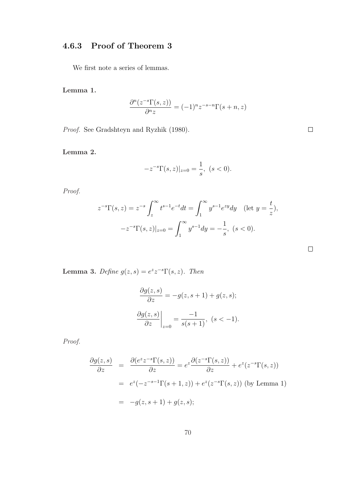## 4.6.3 Proof of Theorem 3

We first note a series of lemmas.

Lemma 1.

$$
\frac{\partial^n(z^{-s}\Gamma(s,z))}{\partial^n z} = (-1)^n z^{-s-n} \Gamma(s+n,z)
$$

Proof. See Gradshteyn and Ryzhik (1980).

Lemma 2.

$$
-z^{-s}\Gamma(s,z)|_{z=0}=\frac{1}{s},\ (s<0).
$$

Proof.

$$
z^{-s}\Gamma(s,z) = z^{-s} \int_z^{\infty} t^{s-1} e^{-t} dt = \int_1^{\infty} y^{s-1} e^{zy} dy \quad (\text{let } y = \frac{t}{z}),
$$
  

$$
-z^{-s}\Gamma(s,z)|_{z=0} = \int_1^{\infty} y^{s-1} dy = -\frac{1}{s}, \ (s < 0).
$$

**Lemma 3.** Define  $g(z, s) = e^{z}z^{-s}\Gamma(s, z)$ . Then

$$
\frac{\partial g(z,s)}{\partial z} = -g(z,s+1) + g(z,s);
$$

$$
\frac{\partial g(z,s)}{\partial z}\Big|_{z=0} = \frac{-1}{s(s+1)}, \ (s < -1).
$$

Proof.

$$
\frac{\partial g(z,s)}{\partial z} = \frac{\partial (e^z z^{-s} \Gamma(s,z))}{\partial z} = e^z \frac{\partial (z^{-s} \Gamma(s,z))}{\partial z} + e^z (z^{-s} \Gamma(s,z))
$$
  

$$
= e^z (-z^{-s-1} \Gamma(s+1,z)) + e^z (z^{-s} \Gamma(s,z)) \text{ (by Lemma 1)}
$$
  

$$
= -g(z,s+1) + g(z,s);
$$

 $\Box$ 

 $\Box$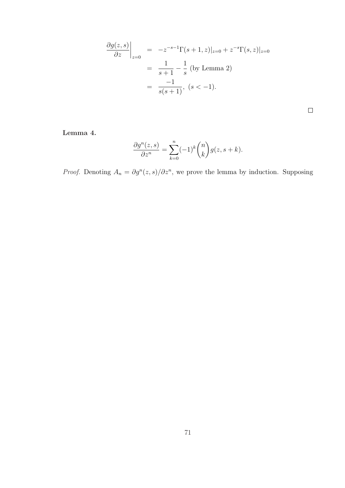$$
\frac{\partial g(z,s)}{\partial z}\Big|_{z=0} = -z^{-s-1}\Gamma(s+1,z)|_{z=0} + z^{-s}\Gamma(s,z)|_{z=0}
$$
  
=  $\frac{1}{s+1} - \frac{1}{s}$  (by Lemma 2)  
=  $\frac{-1}{s(s+1)}$ ,  $(s < -1)$ .

 $\Box$ 

Lemma 4.

$$
\frac{\partial g^n(z,s)}{\partial z^n} = \sum_{k=0}^n (-1)^k \binom{n}{k} g(z,s+k).
$$

*Proof.* Denoting  $A_n = \partial g^n(z, s)/\partial z^n$ , we prove the lemma by induction. Supposing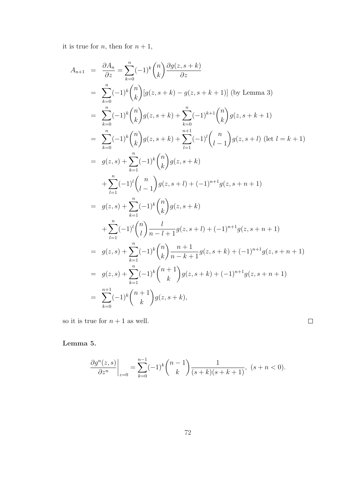it is true for  $n$ , then for  $n + 1$ ,

$$
A_{n+1} = \frac{\partial A_n}{\partial z} = \sum_{k=0}^n (-1)^k {n \choose k} \frac{\partial g(z, s+k)}{\partial z}
$$
  
\n
$$
= \sum_{k=0}^n (-1)^k {n \choose k} [g(z, s+k) - g(z, s+k+1)] \text{ (by Lemma 3)}
$$
  
\n
$$
= \sum_{k=0}^n (-1)^k {n \choose k} g(z, s+k) + \sum_{k=0}^n (-1)^{k+1} {n \choose k} g(z, s+k+1)
$$
  
\n
$$
= \sum_{k=0}^n (-1)^k {n \choose k} g(z, s+k) + \sum_{l=1}^{n+1} (-1)^l {n \choose l-1} g(z, s+l) \text{ (let } l = k+1)
$$
  
\n
$$
= g(z, s) + \sum_{k=1}^n (-1)^k {n \choose k} g(z, s+k)
$$
  
\n
$$
+ \sum_{l=1}^n (-1)^l {n \choose l-1} g(z, s+l) + (-1)^{n+1} g(z, s+n+1)
$$
  
\n
$$
= g(z, s) + \sum_{k=1}^n (-1)^k {n \choose k} g(z, s+k)
$$
  
\n
$$
+ \sum_{l=1}^n (-1)^l {n \choose l} \frac{l}{n-l+1} g(z, s+l) + (-1)^{n+1} g(z, s+n+1)
$$
  
\n
$$
= g(z, s) + \sum_{k=1}^n (-1)^k {n \choose k} \frac{n+1}{n-k+1} g(z, s+k) + (-1)^{n+1} g(z, s+n+1)
$$
  
\n
$$
= g(z, s) + \sum_{k=1}^n (-1)^k {n+1 \choose k} g(z, s+k) + (-1)^{n+1} g(z, s+n+1)
$$
  
\n
$$
= \sum_{k=0}^{n+1} (-1)^k {n+1 \choose k} g(z, s+k),
$$

so it is true for  $n+1$  as well.

 $\Box$ 

Lemma 5.

$$
\frac{\partial g^n(z,s)}{\partial z^n}\bigg|_{z=0} = \sum_{k=0}^{n-1} (-1)^k \binom{n-1}{k} \frac{1}{(s+k)(s+k+1)}, \ (s+n<0).
$$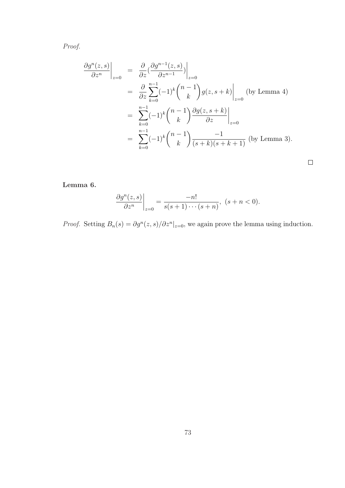Proof.

$$
\frac{\partial g^n(z,s)}{\partial z^n}\Big|_{z=0} = \frac{\partial}{\partial z} \left(\frac{\partial g^{n-1}(z,s)}{\partial z^{n-1}}\right)\Big|_{z=0}
$$
  
\n
$$
= \frac{\partial}{\partial z} \sum_{k=0}^{n-1} (-1)^k {n-1 \choose k} g(z,s+k) \Big|_{z=0} \text{ (by Lemma 4)}
$$
  
\n
$$
= \sum_{k=0}^{n-1} (-1)^k {n-1 \choose k} \frac{\partial g(z,s+k)}{\partial z} \Big|_{z=0}
$$
  
\n
$$
= \sum_{k=0}^{n-1} (-1)^k {n-1 \choose k} \frac{-1}{(s+k)(s+k+1)} \text{ (by Lemma 3)}.
$$

Lemma 6.

$$
\left. \frac{\partial g^n(z,s)}{\partial z^n} \right|_{z=0} = \frac{-n!}{s(s+1)\cdots(s+n)}, \ (s+n<0).
$$

*Proof.* Setting  $B_n(s) = \partial g^n(z, s) / \partial z^n |_{z=0}$ , we again prove the lemma using induction.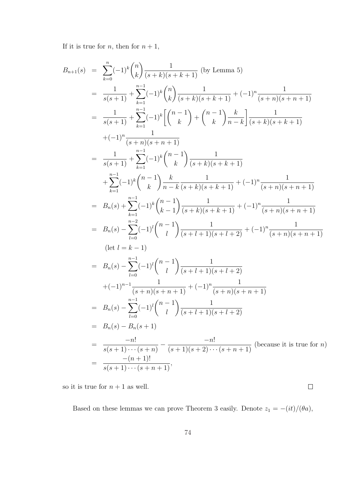If it is true for  $n$ , then for  $n + 1$ ,

$$
B_{n+1}(s) = \sum_{k=0}^{n} (-1)^k {n \choose k} \frac{1}{(s+k)(s+k+1)} \text{ (by Lemma 5)}
$$
  
\n
$$
= \frac{1}{s(s+1)} + \sum_{k=1}^{n-1} (-1)^k {n \choose k} \frac{1}{(s+k)(s+k+1)} + (-1)^n \frac{1}{(s+n)(s+n+1)}
$$
  
\n
$$
= \frac{1}{s(s+1)} + \sum_{k=1}^{n-1} (-1)^k {n-1 \choose k} + {n-1 \choose k} \frac{k}{n-k} \frac{1}{(s+k)(s+k+1)}
$$
  
\n
$$
+ (-1)^n \frac{1}{(s+n)(s+n+1)}
$$
  
\n
$$
= \frac{1}{s(s+1)} + \sum_{k=1}^{n-1} (-1)^k {n-1 \choose k} \frac{1}{(s+k)(s+k+1)}
$$
  
\n
$$
+ \sum_{k=1}^{n-1} (-1)^k {n-1 \choose k} \frac{1}{n-k} \frac{1}{(s+k)(s+k+1)} + (-1)^n \frac{1}{(s+n)(s+n+1)}
$$
  
\n
$$
= B_n(s) + \sum_{k=1}^{n-1} (-1)^k {n-1 \choose k-1} \frac{1}{(s+k)(s+k+1)} + (-1)^n \frac{1}{(s+n)(s+n+1)}
$$
  
\n
$$
= B_n(s) - \sum_{l=0}^{n-2} (-1)^l {n-1 \choose l} \frac{1}{(s+l+1)(s+l+2)} + (-1)^n \frac{1}{(s+n)(s+n+1)}
$$
  
\n
$$
= B_n(s) - \sum_{l=0}^{n-1} (-1)^l {n-1 \choose l} \frac{1}{(s+l+1)(s+l+2)}
$$
  
\n
$$
+ (-1)^{n-1} \frac{1}{(s+n)(s+n+1)} + (-1)^n \frac{1}{(s+n)(s+n+1)}
$$
  
\n
$$
= B_n(s) - \sum_{l=0}^{n-1} (-1)^l {n-1 \choose l} \frac{1}{(s+l+1)(s+l+2)}
$$
  
\n
$$
= B_n(s) - B_n(s+1)
$$
  
\n
$$
= \frac{-n!}{s(s+1)\cdots(s+n-1)} - \frac{-n!}{(s+1)(
$$

so it is true for  $n+1$  as well.

Based on these lemmas we can prove Theorem 3 easily. Denote  $z_1 = -(it)/(\theta a)$ ,

 $\Box$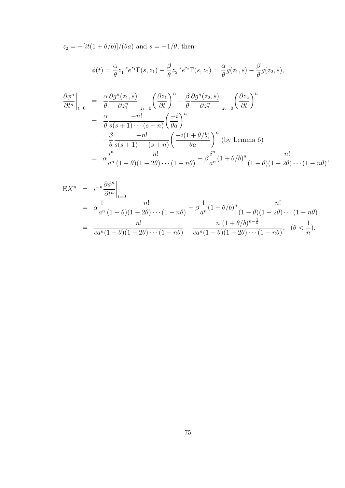$z_2 = -[it(1 + \theta/b)]/(\theta a)$  and  $s = -1/\theta$ , then

$$
\phi(t) = \frac{\alpha}{\theta} z_1^{-s} e^{z_1} \Gamma(s, z_1) - \frac{\beta}{\theta} z_2^{-s} e^{z_2} \Gamma(s, z_2) = \frac{\alpha}{\theta} g(z_1, s) - \frac{\beta}{\theta} g(z_2, s),
$$
  
\n
$$
\frac{\partial \phi^n}{\partial t^n} \Big|_{t=0} = \frac{\alpha}{\theta} \frac{\partial g^n(z_1, s)}{\partial z_1^n} \Big|_{z_1=0} \left(\frac{\partial z_1}{\partial t}\right)^n - \frac{\beta}{\theta} \frac{\partial g^n(z_2, s)}{\partial z_2^n} \Big|_{z_2=0} \left(\frac{\partial z_2}{\partial t}\right)^n
$$
  
\n
$$
= \frac{\alpha}{\theta} \frac{-n!}{s(s+1)\cdots(s+n)} \left(\frac{-i}{\theta a}\right)^n
$$
  
\n
$$
= \frac{\beta}{\theta} \frac{-n!}{s(s+1)\cdots(s+n)} \left(\frac{-i(1+\theta/b)}{\theta a}\right)^n \text{ (by Lemma 6)}
$$
  
\n
$$
= \alpha \frac{i^n}{a^n} \frac{n!}{(1-\theta)(1-2\theta)\cdots(1-n\theta)} - \beta \frac{i^n}{a^n} (1+\theta/b)^n \frac{n!}{(1-\theta)(1-2\theta)\cdots(1-n\theta)},
$$

$$
EX^{n} = i^{-n} \frac{\partial \phi^{n}}{\partial t^{n}} \Big|_{t=0}
$$
  
=  $\alpha \frac{1}{a^{n}} \frac{n!}{(1-\theta)(1-2\theta)\cdots(1-n\theta)} - \beta \frac{1}{a^{n}} (1+\theta/b)^{n} \frac{n!}{(1-\theta)(1-2\theta)\cdots(1-n\theta)}$   
=  $\frac{n!}{ca^{n}(1-\theta)(1-2\theta)\cdots(1-n\theta)} - \frac{n!(1+\theta/b)^{n-\frac{1}{\theta}}}{ca^{n}(1-\theta)(1-2\theta)\cdots(1-n\theta)}, \quad (\theta < \frac{1}{n}).$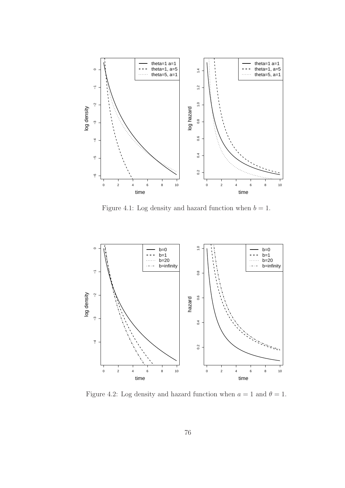

Figure 4.1: Log density and hazard function when  $b = 1$ .



Figure 4.2: Log density and hazard function when  $a = 1$  and  $\theta = 1$ .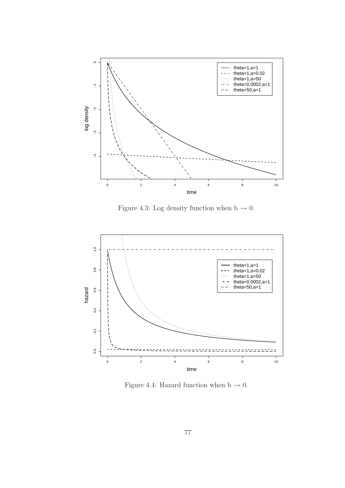

Figure 4.3: Log density function when b  $\rightarrow$  0.



Figure 4.4: Hazard function when b  $\rightarrow$  0.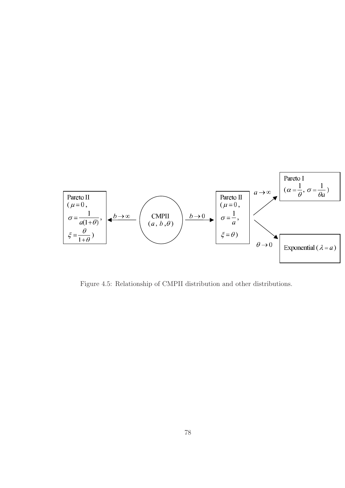

Figure 4.5: Relationship of CMPII distribution and other distributions.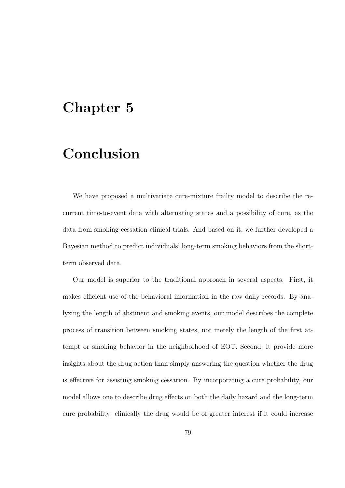## Chapter 5

## Conclusion

We have proposed a multivariate cure-mixture frailty model to describe the recurrent time-to-event data with alternating states and a possibility of cure, as the data from smoking cessation clinical trials. And based on it, we further developed a Bayesian method to predict individuals' long-term smoking behaviors from the shortterm observed data.

Our model is superior to the traditional approach in several aspects. First, it makes efficient use of the behavioral information in the raw daily records. By analyzing the length of abstinent and smoking events, our model describes the complete process of transition between smoking states, not merely the length of the first attempt or smoking behavior in the neighborhood of EOT. Second, it provide more insights about the drug action than simply answering the question whether the drug is effective for assisting smoking cessation. By incorporating a cure probability, our model allows one to describe drug effects on both the daily hazard and the long-term cure probability; clinically the drug would be of greater interest if it could increase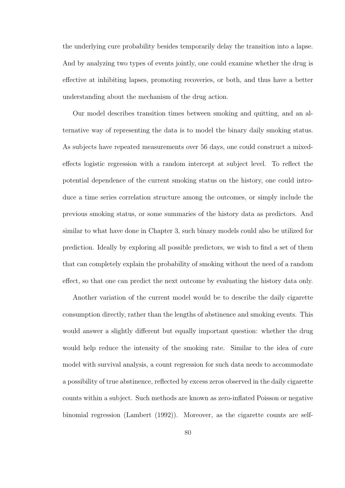the underlying cure probability besides temporarily delay the transition into a lapse. And by analyzing two types of events jointly, one could examine whether the drug is effective at inhibiting lapses, promoting recoveries, or both, and thus have a better understanding about the mechanism of the drug action.

Our model describes transition times between smoking and quitting, and an alternative way of representing the data is to model the binary daily smoking status. As subjects have repeated measurements over 56 days, one could construct a mixedeffects logistic regression with a random intercept at subject level. To reflect the potential dependence of the current smoking status on the history, one could introduce a time series correlation structure among the outcomes, or simply include the previous smoking status, or some summaries of the history data as predictors. And similar to what have done in Chapter 3, such binary models could also be utilized for prediction. Ideally by exploring all possible predictors, we wish to find a set of them that can completely explain the probability of smoking without the need of a random effect, so that one can predict the next outcome by evaluating the history data only.

Another variation of the current model would be to describe the daily cigarette consumption directly, rather than the lengths of abstinence and smoking events. This would answer a slightly different but equally important question: whether the drug would help reduce the intensity of the smoking rate. Similar to the idea of cure model with survival analysis, a count regression for such data needs to accommodate a possibility of true abstinence, reflected by excess zeros observed in the daily cigarette counts within a subject. Such methods are known as zero-inflated Poisson or negative binomial regression (Lambert (1992)). Moreover, as the cigarette counts are self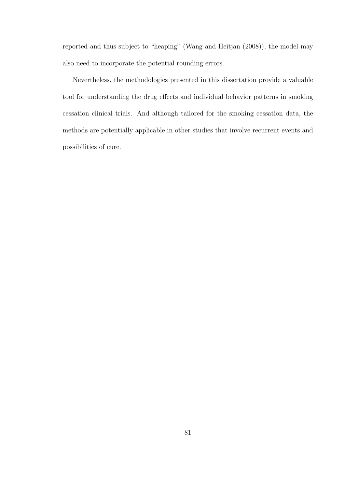reported and thus subject to "heaping" (Wang and Heitjan (2008)), the model may also need to incorporate the potential rounding errors.

Nevertheless, the methodologies presented in this dissertation provide a valuable tool for understanding the drug effects and individual behavior patterns in smoking cessation clinical trials. And although tailored for the smoking cessation data, the methods are potentially applicable in other studies that involve recurrent events and possibilities of cure.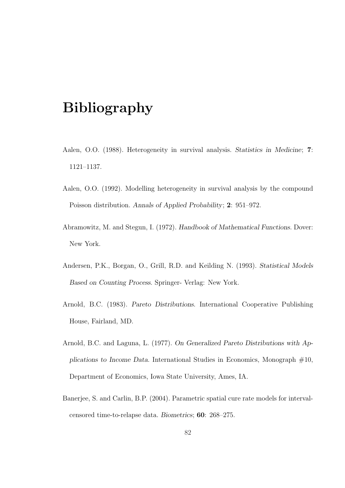## Bibliography

- Aalen, O.O. (1988). Heterogeneity in survival analysis. Statistics in Medicine; 7: 1121–1137.
- Aalen, O.O. (1992). Modelling heterogeneity in survival analysis by the compound Poisson distribution. Annals of Applied Probability; 2: 951–972.
- Abramowitz, M. and Stegun, I. (1972). Handbook of Mathematical Functions. Dover: New York.
- Andersen, P.K., Borgan, O., Grill, R.D. and Keilding N. (1993). Statistical Models Based on Counting Process. Springer- Verlag: New York.
- Arnold, B.C. (1983). Pareto Distributions. International Cooperative Publishing House, Fairland, MD.
- Arnold, B.C. and Laguna, L. (1977). On Generalized Pareto Distributions with Applications to Income Data. International Studies in Economics, Monograph  $#10$ , Department of Economics, Iowa State University, Ames, IA.
- Banerjee, S. and Carlin, B.P. (2004). Parametric spatial cure rate models for intervalcensored time-to-relapse data. Biometrics; 60: 268–275.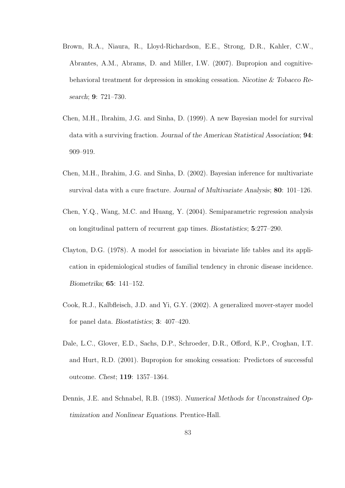- Brown, R.A., Niaura, R., Lloyd-Richardson, E.E., Strong, D.R., Kahler, C.W., Abrantes, A.M., Abrams, D. and Miller, I.W. (2007). Bupropion and cognitivebehavioral treatment for depression in smoking cessation. Nicotine & Tobacco Research; 9: 721–730.
- Chen, M.H., Ibrahim, J.G. and Sinha, D. (1999). A new Bayesian model for survival data with a surviving fraction. Journal of the American Statistical Association; 94: 909–919.
- Chen, M.H., Ibrahim, J.G. and Sinha, D. (2002). Bayesian inference for multivariate survival data with a cure fracture. Journal of Multivariate Analysis; 80: 101–126.
- Chen, Y.Q., Wang, M.C. and Huang, Y. (2004). Semiparametric regression analysis on longitudinal pattern of recurrent gap times. Biostatistics; 5:277–290.
- Clayton, D.G. (1978). A model for association in bivariate life tables and its application in epidemiological studies of familial tendency in chronic disease incidence. Biometrika; 65: 141–152.
- Cook, R.J., Kalbfleisch, J.D. and Yi, G.Y. (2002). A generalized mover-stayer model for panel data. Biostatistics; 3: 407–420.
- Dale, L.C., Glover, E.D., Sachs, D.P., Schroeder, D.R., Offord, K.P., Croghan, I.T. and Hurt, R.D. (2001). Bupropion for smoking cessation: Predictors of successful outcome. Chest; 119: 1357–1364.
- Dennis, J.E. and Schnabel, R.B. (1983). Numerical Methods for Unconstrained Optimization and Nonlinear Equations. Prentice-Hall.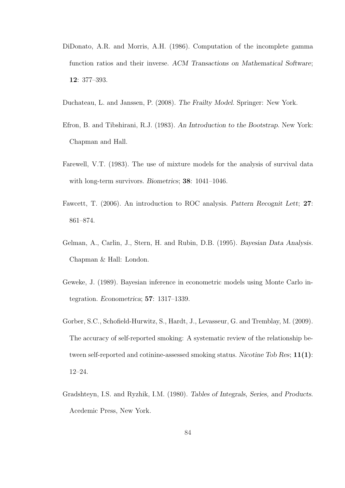- DiDonato, A.R. and Morris, A.H. (1986). Computation of the incomplete gamma function ratios and their inverse. ACM Transactions on Mathematical Software; 12: 377–393.
- Duchateau, L. and Janssen, P. (2008). The Frailty Model. Springer: New York.
- Efron, B. and Tibshirani, R.J. (1983). An Introduction to the Bootstrap. New York: Chapman and Hall.
- Farewell, V.T. (1983). The use of mixture models for the analysis of survival data with long-term survivors. Biometrics; 38: 1041–1046.
- Fawcett, T. (2006). An introduction to ROC analysis. Pattern Recognit Lett; 27: 861–874.
- Gelman, A., Carlin, J., Stern, H. and Rubin, D.B. (1995). Bayesian Data Analysis. Chapman & Hall: London.
- Geweke, J. (1989). Bayesian inference in econometric models using Monte Carlo integration. Econometrica; 57: 1317–1339.
- Gorber, S.C., Schofield-Hurwitz, S., Hardt, J., Levasseur, G. and Tremblay, M. (2009). The accuracy of self-reported smoking: A systematic review of the relationship between self-reported and cotinine-assessed smoking status. Nicotine Tob Res; 11(1): 12–24.
- Gradshteyn, I.S. and Ryzhik, I.M. (1980). Tables of Integrals, Series, and Products. Acedemic Press, New York.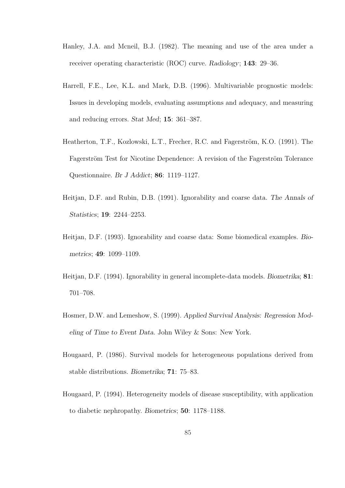- Hanley, J.A. and Mcneil, B.J. (1982). The meaning and use of the area under a receiver operating characteristic (ROC) curve. Radiology; 143: 29–36.
- Harrell, F.E., Lee, K.L. and Mark, D.B. (1996). Multivariable prognostic models: Issues in developing models, evaluating assumptions and adequacy, and measuring and reducing errors. Stat Med; 15: 361–387.
- Heatherton, T.F., Kozlowski, L.T., Frecher, R.C. and Fagerström, K.O. (1991). The Fagerström Test for Nicotine Dependence: A revision of the Fagerström Tolerance Questionnaire. Br J Addict; 86: 1119–1127.
- Heitjan, D.F. and Rubin, D.B. (1991). Ignorability and coarse data. The Annals of Statistics; 19: 2244–2253.
- Heitjan, D.F. (1993). Ignorability and coarse data: Some biomedical examples. Biometrics; 49: 1099–1109.
- Heitjan, D.F. (1994). Ignorability in general incomplete-data models. Biometrika; 81: 701–708.
- Hosmer, D.W. and Lemeshow, S. (1999). Applied Survival Analysis: Regression Modeling of Time to Event Data. John Wiley & Sons: New York.
- Hougaard, P. (1986). Survival models for heterogeneous populations derived from stable distributions. Biometrika; 71: 75–83.
- Hougaard, P. (1994). Heterogeneity models of disease susceptibility, with application to diabetic nephropathy. Biometrics; 50: 1178–1188.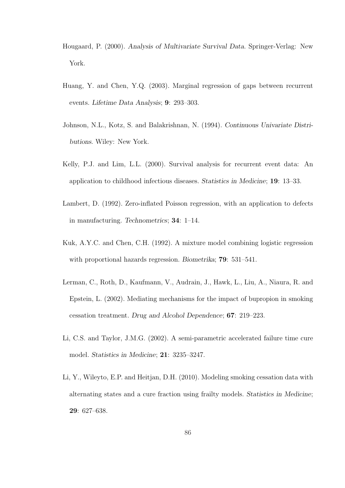- Hougaard, P. (2000). Analysis of Multivariate Survival Data. Springer-Verlag: New York.
- Huang, Y. and Chen, Y.Q. (2003). Marginal regression of gaps between recurrent events. Lifetime Data Analysis; 9: 293–303.
- Johnson, N.L., Kotz, S. and Balakrishnan, N. (1994). Continuous Univariate Distributions. Wiley: New York.
- Kelly, P.J. and Lim, L.L. (2000). Survival analysis for recurrent event data: An application to childhood infectious diseases. Statistics in Medicine; 19: 13–33.
- Lambert, D. (1992). Zero-inflated Poisson regression, with an application to defects in manufacturing. Technometrics; 34: 1–14.
- Kuk, A.Y.C. and Chen, C.H. (1992). A mixture model combining logistic regression with proportional hazards regression. Biometrika; **79**: 531–541.
- Lerman, C., Roth, D., Kaufmann, V., Audrain, J., Hawk, L., Liu, A., Niaura, R. and Epstein, L. (2002). Mediating mechanisms for the impact of bupropion in smoking cessation treatment. Drug and Alcohol Dependence; 67: 219–223.
- Li, C.S. and Taylor, J.M.G. (2002). A semi-parametric accelerated failure time cure model. Statistics in Medicine; 21: 3235–3247.
- Li, Y., Wileyto, E.P. and Heitjan, D.H. (2010). Modeling smoking cessation data with alternating states and a cure fraction using frailty models. Statistics in Medicine; 29: 627–638.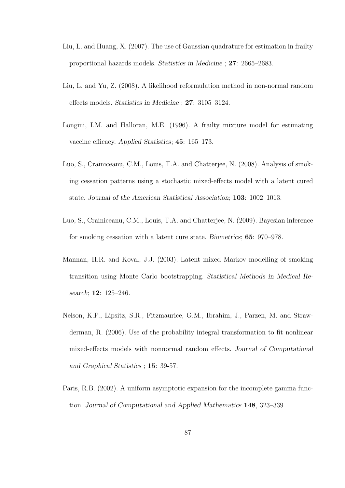- Liu, L. and Huang, X. (2007). The use of Gaussian quadrature for estimation in frailty proportional hazards models. Statistics in Medicine ; 27: 2665–2683.
- Liu, L. and Yu, Z. (2008). A likelihood reformulation method in non-normal random effects models. Statistics in Medicine ; 27: 3105–3124.
- Longini, I.M. and Halloran, M.E. (1996). A frailty mixture model for estimating vaccine efficacy. Applied Statistics; 45: 165–173.
- Luo, S., Crainiceanu, C.M., Louis, T.A. and Chatterjee, N. (2008). Analysis of smoking cessation patterns using a stochastic mixed-effects model with a latent cured state. Journal of the American Statistical Association; 103: 1002–1013.
- Luo, S., Crainiceanu, C.M., Louis, T.A. and Chatterjee, N. (2009). Bayesian inference for smoking cessation with a latent cure state. Biometrics; 65: 970–978.
- Mannan, H.R. and Koval, J.J. (2003). Latent mixed Markov modelling of smoking transition using Monte Carlo bootstrapping. Statistical Methods in Medical Research; 12: 125–246.
- Nelson, K.P., Lipsitz, S.R., Fitzmaurice, G.M., Ibrahim, J., Parzen, M. and Strawderman, R. (2006). Use of the probability integral transformation to fit nonlinear mixed-effects models with nonnormal random effects. Journal of Computational and Graphical Statistics ; 15: 39-57.
- Paris, R.B. (2002). A uniform asymptotic expansion for the incomplete gamma function. Journal of Computational and Applied Mathematics 148, 323–339.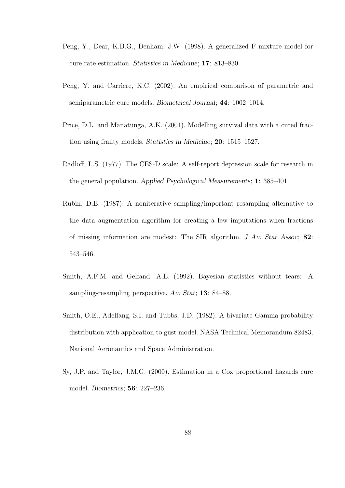- Peng, Y., Dear, K.B.G., Denham, J.W. (1998). A generalized F mixture model for cure rate estimation. Statistics in Medicine; 17: 813–830.
- Peng, Y. and Carriere, K.C. (2002). An empirical comparison of parametric and semiparametric cure models. Biometrical Journal; 44: 1002–1014.
- Price, D.L. and Manatunga, A.K. (2001). Modelling survival data with a cured fraction using frailty models. Statistics in Medicine; 20: 1515–1527.
- Radloff, L.S. (1977). The CES-D scale: A self-report depression scale for research in the general population. Applied Psychological Measurements; 1: 385–401.
- Rubin, D.B. (1987). A noniterative sampling/important resampling alternative to the data augmentation algorithm for creating a few imputations when fractions of missing information are modest: The SIR algorithm. J Am Stat Assoc; 82: 543–546.
- Smith, A.F.M. and Gelfand, A.E. (1992). Bayesian statistics without tears: A sampling-resampling perspective. Am Stat; 13: 84–88.
- Smith, O.E., Adelfang, S.I. and Tubbs, J.D. (1982). A bivariate Gamma probability distribution with application to gust model. NASA Technical Memorandum 82483, National Aeronautics and Space Administration.
- Sy, J.P. and Taylor, J.M.G. (2000). Estimation in a Cox proportional hazards cure model. Biometrics; 56: 227–236.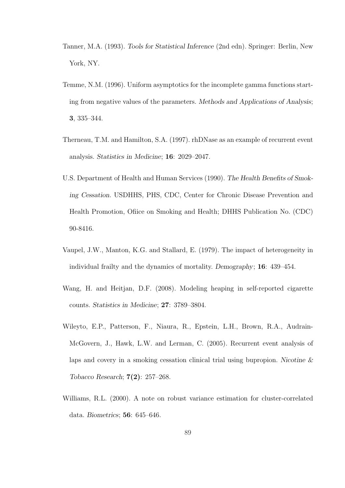- Tanner, M.A. (1993). Tools for Statistical Inference (2nd edn). Springer: Berlin, New York, NY.
- Temme, N.M. (1996). Uniform asymptotics for the incomplete gamma functions starting from negative values of the parameters. Methods and Applications of Analysis; 3, 335–344.
- Therneau, T.M. and Hamilton, S.A. (1997). rhDNase as an example of recurrent event analysis. Statistics in Medicine; 16: 2029–2047.
- U.S. Department of Health and Human Services (1990). The Health Benefits of Smoking Cessation. USDHHS, PHS, CDC, Center for Chronic Disease Prevention and Health Promotion, Ofiice on Smoking and Health; DHHS Publication No. (CDC) 90-8416.
- Vaupel, J.W., Manton, K.G. and Stallard, E. (1979). The impact of heterogeneity in individual frailty and the dynamics of mortality. Demography; 16: 439–454.
- Wang, H. and Heitjan, D.F. (2008). Modeling heaping in self-reported cigarette counts. Statistics in Medicine; 27: 3789–3804.
- Wileyto, E.P., Patterson, F., Niaura, R., Epstein, L.H., Brown, R.A., Audrain-McGovern, J., Hawk, L.W. and Lerman, C. (2005). Recurrent event analysis of laps and covery in a smoking cessation clinical trial using bupropion. Nicotine  $\&$ Tobacco Research; 7(2): 257–268.
- Williams, R.L. (2000). A note on robust variance estimation for cluster-correlated data. Biometrics; 56: 645–646.